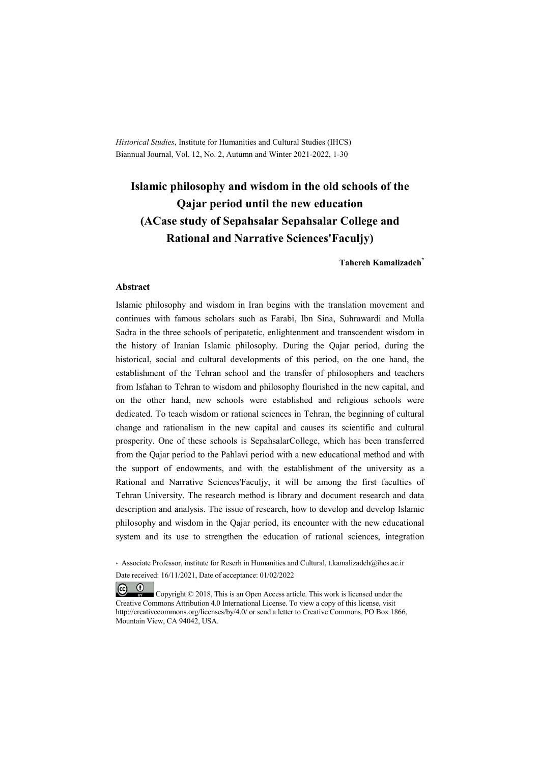*Historical Studies*, Institute for Humanities and Cultural Studies (IHCS) Biannual Journal, Vol. 12, No. 2, Autumn and Winter 2021-2022, 1-30

# **Islamic philosophy and wisdom in the old schools of the Qajar period until the new education (ACase study of Sepahsalar Sepahsalar College and Rational and Narrative Sciences'Faculjy)**

**Tahereh Kamalizadeh\***

#### **Abstract**

Islamic philosophy and wisdom in Iran begins with the translation movement and continues with famous scholars such as Farabi, Ibn Sina, Suhrawardi and Mulla Sadra in the three schools of peripatetic, enlightenment and transcendent wisdom in the history of Iranian Islamic philosophy. During the Qajar period, during the historical, social and cultural developments of this period, on the one hand, the establishment of the Tehran school and the transfer of philosophers and teachers from Isfahan to Tehran to wisdom and philosophy flourished in the new capital, and on the other hand, new schools were established and religious schools were dedicated. To teach wisdom or rational sciences in Tehran, the beginning of cultural change and rationalism in the new capital and causes its scientific and cultural prosperity. One of these schools is SepahsalarCollege, which has been transferred from the Qajar period to the Pahlavi period with a new educational method and with the support of endowments, and with the establishment of the university as a Rational and Narrative Sciences'Faculjy, it will be among the first faculties of Tehran University. The research method is library and document research and data description and analysis. The issue of research, how to develop and develop Islamic philosophy and wisdom in the Qajar period, its encounter with the new educational system and its use to strengthen the education of rational sciences, integration

 $(cc)$  $(1)$ 

 Copyright © 2018, This is an Open Access article. This work is licensed under the Creative Commons Attribution 4.0 International License. To view a copy of this license, visit http://creativecommons.org/licenses/by/4.0/ or send a letter to Creative Commons, PO Box 1866, Mountain View, CA 94042, USA.

<sup>\*</sup> Associate Professor, institute for Reserh in Humanities and Cultural, t.kamalizadeh@ihcs.ac.ir Date received: 16/11/2021, Date of acceptance: 01/02/2022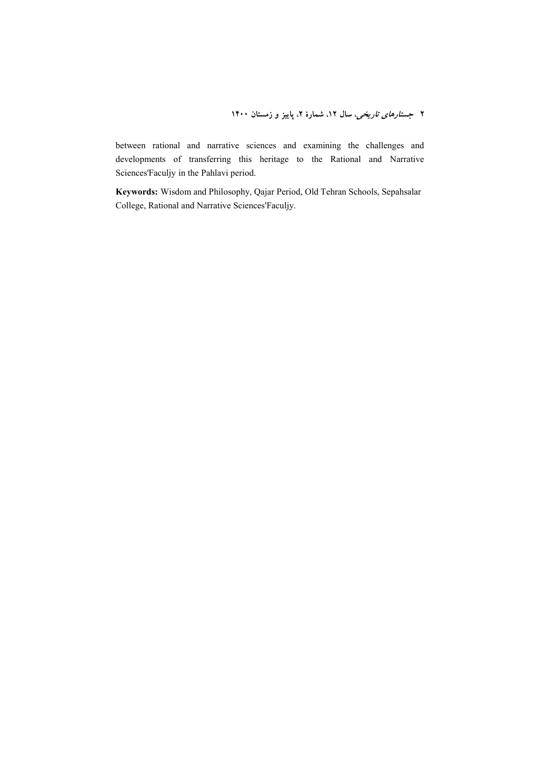between rational and narrative sciences and examining the challenges and developments of transferring this heritage to the Rational and Narrative Sciences'Faculjy in the Pahlavi period.

**Keywords:** Wisdom and Philosophy, Qajar Period, Old Tehran Schools, Sepahsalar College, Rational and Narrative Sciences'Faculjy.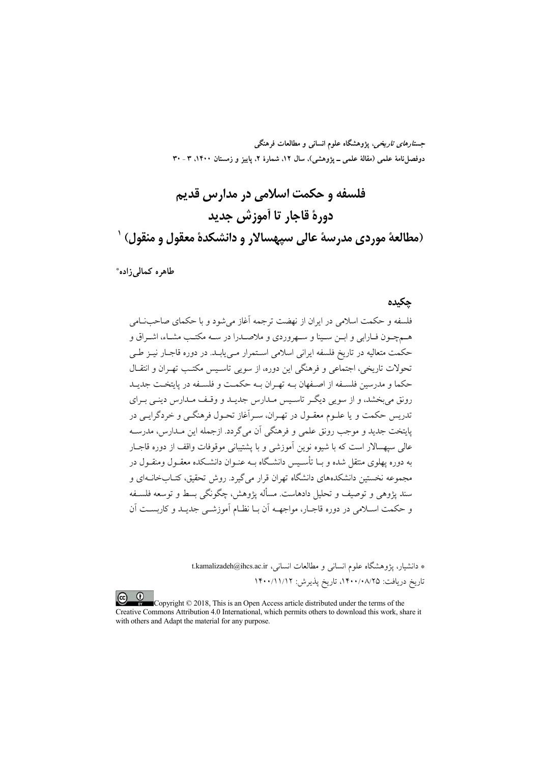جست*ارهای تاریخی*، پژوهشگاه علوم انسانی و مطالعات فرهنگی دوفصلناه علمی (مقالهٔ علمی ــ پژوهشی)، سال ۱۲، شمارهٔ ۲، پاییز و زمستان ۱۴۰۰، ۳ ـ ۳۰

# فلسفه و حکمت اسلامي در مدارس قديم دورهٔ قاجار تا اَموزش جدید (مطالعة موردي مدرسة عالى سيهسالار و دانشكدة معقول و منقول) `

طاهره كمالي زاده\*

#### حكىدە

فلسفه و حکمت اسلامی در ایران از نهضت ترجمه آغاز می شود و با حکمای صاحب امی هـمچـون فـارابي و ابــن ســينا و ســهروردي و ملاصــدرا در ســه مكتـب مشــاء، اشــراق و حکمت متعالیه در تاریخ فلسفه ایرانی اسلامی اسـتمرار مـی پابـد. در دوره قاجـار نیـز طـی تحولات تاریخی، اجتماعی و فرهنگی این دوره، از سوپی تاسیس مکتب تهیران و انتقبال ۔<br>حکما و مدرسین فلسفه از اصفهان بـه تهـ ان بـه حکمـت و فلسـفه در بابتخـت جدبـد رونق می بخشد، و از سویی دیگر تاسیس مـدارس جدیـد و وقـف مـدارس دینـی بـرای ۔<br>تدریس حکمت و یا علیوم معقبول در تھے ان، سے آغاز تحیول فرھنگے و خردگرایے در يايتخت جديد و موجب رونق علمي و فرهنگي آن مي گردد. ازجمله اين مـدارس، مدرســه عالی سیهسالار است که با شیوه نوین آموزشی و با پشتیبانی موقوفات واقف از دوره قاجـار به دوره یهلوی منتقل شده و بــا تأســیس دانشــگاه بــه عنــوان دانشــکده معقــول ومنقــول در مجموعه نخستین دانشکدههای دانشگاه تهران قرار می گیرد. روش تحقیق، کتــابخانــهای و سند یژوهی و توصیف و تحلیل دادهاست. مسأله یژوهش، چگونگی بسط و توسعه فلسـفه و حکمت اسلامی در دوره قاجبار، مواجهـه اّن بـا نظـام اَموزشـی جدیـد و کاربسـت اَن

> \* دانشیار، پژوهشگاه علوم انسانی و مطالعات انسانی، t.kamalizadeh@ihcs.ac.ir تاريخ دريافت: ١۴٠٠/٠٨/٢٥، تاريخ يذيرش: ١۴٠٠/١١/١٢

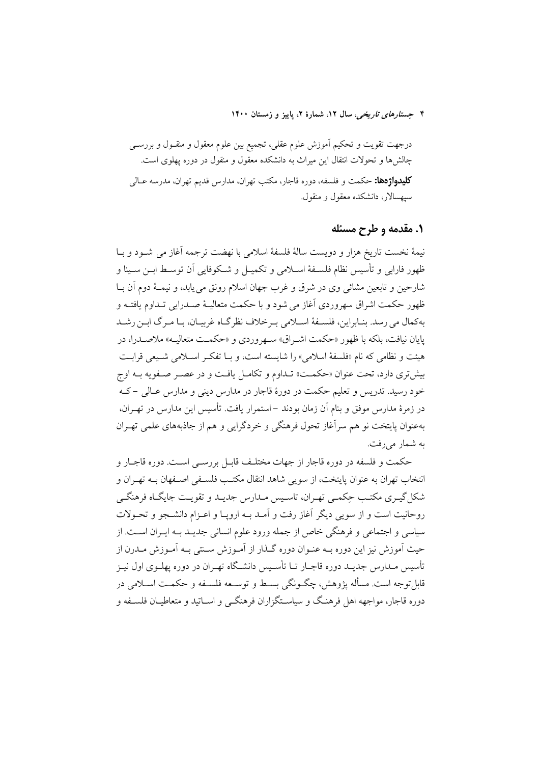درجهت تقويت و تحكيم آموزش علوم عقلي، تجميع بين علوم معقول و منقــول و بررســي چالشها و تحولات انتقال این میراث به دانشکده معقول و منقول در دوره پهلوی است. **کلیدواژهها:** حکمت و فلسفه، دوره قاجار، مکتب تهران، مدارس قدیم تهران، مدرسه عــال<sub>ی</sub> سیهسالار، دانشکده معقول و منقول.

## ۱. مقدمه و طرح مسئله

نيمهٔ نخست تاريخ هزار و دويست سالهٔ فلسفهٔ اسلامي با نهضت ترجمه آغاز مي شــود و بــا ظهور فارابی و تأسیس نظام فلســفهٔ اســلامی و تکمیــل و شــکوفایی آن توســط ابــن ســینا و شارحين و تابعين مشائي وي در شرق و غرب جهان اسلام رونق مي يابد، و نيمـهٔ دوم آن بــا ظهور حکمت اشراق سهروردی آغاز می شود و با حکمت متعالیـهٔ صـدرابی تـداوم یافتـه و به کمال می رسد. بنـابراین، فلسـفهٔ اسـلامی بـرخلاف نظر گـاه غربیـان، بـا مـرگ ابـن رشـد پایان نیافت، بلکه با ظهور «حکمت اشـراق» سـهروردی و «حکمـت متعالیـه» ملاصـدرا، در هيئت و نظامي كه نام «فلسفهٔ اسلامي» را شايسته است، و بــا تفكـر اســلامي شــيعي قرابــت بیش تری دارد، تحت عنوان «حکمـت» تـداوم و تکامـل یافـت و در عصـر صـفویه بــه اوج خود رسيد. تدريس و تعليم حكمت در دورهٔ قاجار در مدارس ديني و مدارس عـالي –کـه در زمرهٔ مدارس موفق و بنام آن زمان بودند –استمرار یافت. تأسیس این مدارس در تهـران، بهعنوان پایتخت نو هم سرآغاز تحول فرهنگی و خردگرایی و هم از جاذبههای علمی تهـران به شمار می رفت.

حکمت و فلسفه در دوره قاجار از جهات مختلـف قابـل بررســي اســت. دوره قاجــار و انتخاب تهران به عنوان پایتخت، از سویی شاهد انتقال مکتـب فلسـفی اصـفهان بـه تهـران و شکل گیـری مکتـب حِکمـی تهـران، تاسـیس مـدارس جدیـد و تقویـت جایگـاه فرهنگـی روحانيت است و از سويي ديگر آغاز رفت و آمـد بــه ارويــا و اعــزام دانشــجو و تحــولات سیاسی و اجتماعی و فرهنگی خاص از جمله ورود علوم انسانی جدیـد بـه ایـران اسـت. از حیث اَموزش نیز این دوره بــه عنــوان دوره گــذار از اَمــوزش ســنتی بــه اَمــوزش مــدرن از تأسیس مـدارس جدیـد دوره قاجــار تــا تأســیس دانشــگاه تهــران در دوره یهلــوی اول نیــز قابلتوجه است. مسأله يژوهش، چگـونگي بسـط و توسـعه فلسـفه و حکمـت اسـلامي در دوره قاجار، مواجهه اهل فرهنگ و سیاسـتگزاران فرهنگــی و اســاتید و متعاطیــان فلســفه و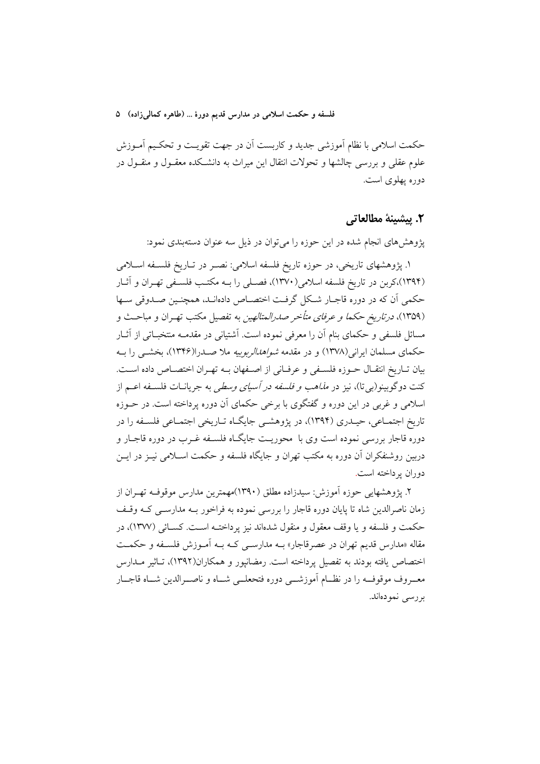حکمت اسلامی با نظام اَموزشی جدید و کاربست اَن در جهت تقویـت و تحکـیم اَمـوزش علوم عقلی و بررسی چالشها و تحولات انتقال این میراث به دانشـکده معقــول و منقــول در دوره پهلوی است.

## ٢. پيشينهٔ مطالعاتي

یژوهشهای انجام شده در این حوزه را می توان در ذیل سه عنوان دستهبندی نمود:

۱. پژوهشهای تاریخی، در حوزه تاریخ فلسفه اسلامی: نصـر در تــاریخ فلســفه اســلامی (۱۳۹۴)،کربن در تاریخ فلسفه اسلامی(۱۳۷۰)، فصلی را بـه مکتـب فلسـفی تهـران و آثـار حکمی آن که در دوره قاجـار شـکل گرفـت اختصـاص دادهانـد، همچنـین صـدوقی سـها (۱۳۵۹)، *درتاریخ حکما و عرفای متأخر صدرالمتالهین* به تفصیل مکتب تهـران و مباحـث و مسائل فلسفی و حکمای بنام آن را معرفی نموده است. آشتیانی در مقدمـه منتخبــاتی از آثــار حکمای مسلمان ایرانی(۱۳۷۸) و در مقدمه *شواهدالربوبیه* ملا صـدرا(۱۳۴۶)، بخشــی را بــه بیان تـاریخ انتقـال حــوزه فلســفی و عرفــانی از اصــفهان بــه تهــران اختصــاص داده اســت. کنت دوگوبینو(بی تا)، نیز در *مذاهب و فلسفه در آسیای وسطی* به جریانــات فلســفه اعــم از اسلامی و غربی در این دوره و گفتگوی با برخی حکمای آن دوره پرداخته است. در حــوزه تاریخ اجتمـاعی، حیـدری (۱۳۹۴)، در پژوهشـی جایگـاه تـاریخی اجتمـاعی فلسـفه را در دوره قاجار بررسی نموده است وی با ً محوریـت جایگـاه فلسـفه غـرب در دوره قاجـار و دربین روشنفکران اَن دوره به مکتب تهران و جایگاه فلسفه و حکمت اسـلامی نیــز در ایــن دوران يو داخته است.

۲. پژوهشهایی حوزه آموزش: سیدزاده مطلق (۱۳۹۰)مهمترین مدارس موقوف تهران از زمان ناصرالدین شاه تا پایان دوره قاجار را بررسی نموده به فراخور بـه مدارســی کـه وقـف حکمت و فلسفه و یا وقف معقول و منقول شدهاند نیز پرداختـه اسـت. کسـائـی (۱۳۷۷)، در مقاله «مدارس قدیم تهران در عصرقاجار» بــه مدارســی کــه بــه آمــوزش فلســفه و حکمــت اختصاص یافته بودند به تفصیل پرداخته است. رمضانپور و همکاران(۱۳۹۲)، تـاثیر مـدارس معــروف موقوفــه را در نظــام أموزشـــي دوره فتحعلــي شــاه و ناصـــرالدين شــاه قاجــار بررسي نمودهاند.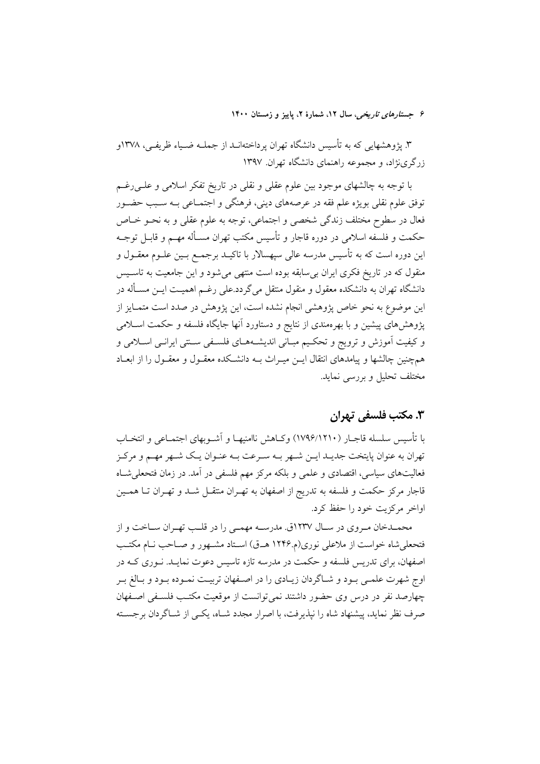۳. پژوهشهایی که به تأسیس دانشگاه تهران پرداختهانــد از جملــه ضــیاء ظریفــی، ۱۳۷۸و زرگری نژاد، و مجموعه راهنمای دانشگاه تهران ۱۳۹۷

با توجه به چالشهای موجود بین علوم عقلی و نقلی در تاریخ تفکر اسلامی و علــی(غــم توفق علوم نقلي بويژه علم فقه در عرصههاي ديني، فرهنگي و اجتمــاعي بــه ســبب حضــور فعال در سطوح مختلف زندگی شخصی و اجتماعی، توجه به علوم عقلی و به نحــو خــاص حکمت و فلسفه اسلامی در دوره قاجار و تأسیس مکتب تهران مسـأله مهــم و قابــل توجــه این دوره است که به تأسیس مدرسه عالمی سپهسالار با تاکیـد برجمـع بــین علــوم معقــول و منقول که در تاریخ فکری ایران بی سابقه بوده است منتهی می شود و این جامعیت به تاسـیس دانشگاه تهران به دانشکده معقول و منقول منتقل میگردد.علی رغــم اهمیــت ایــن مســأله در این موضوع به نحو خاص پژوهشی انجام نشده است، این پژوهش در صدد است متمـایز از پژوهش های پیشین و با بهرهمندی از نتایج و دستاورد آنها جایگاه فلسفه و حکمت اسـلامی و کیفیت آموزش و ترویج و تحکیم مبـانی اندیشــههـای فلســفی ســنتی ایرانــی اســلامی و همچنین چالشها و پیامدهای انتقال ایــن میــراث بــه دانشــکده معقــول و معقــول را از ابعــاد مختلف تحلیل و بررسی نماید.

# ۳. مکتب فلسفی تهران

با تأسيس سلسله قاجــار (١٧٩۶/١٢١٠) وكــاهش ناامنيهـا و اَشــوبهاي اجتمــاعي و انتخــاب تهران به عنوان پایتخت جدیـد ایــن شــهر بــه ســرعت بــه عنــوان یــک شــهر مهــم و مرکــز فعالیتهای سیاسی، اقتصادی و علمی و بلکه مرکز مهم فلسفی در آمد. در زمان فتحعلی شـاه قاجار مرکز حکمت و فلسفه به تدریج از اصفهان به تهـران منتقــل شــد و تهـران تــا همــین اواخر مرکزیت خود را حفظ کرد.

محمـدخان مـروي در سـال ١٢٣٧ق. مدرسـه مهمـي را در قلـب تهـران سـاخت و از فتحعلي شاه خواست از ملاعلي نوري(م ١٢۴۶ هـ ق) اسـتاد مشـهور و صـاحب نـام مكتـب اصفهان، برای تدریس فلسفه و حکمت در مدرسه تازه تاسیس دعوت نمایـد. نــوری کــه در اوج شهرت علمـي بـود و شــاگردان زيــادي را در اصــفهان تربيــت نمـوده بـود و بــالغ بـر چهارصد نفر در درس وی حضور داشتند نمی توانست از موقعیت مکتب فلسفی اصفهان صرف نظر نماید، پیشنهاد شاه را نیذیرفت، با اصرار مجدد شـاه، یکـی از شـاگردان برجسـته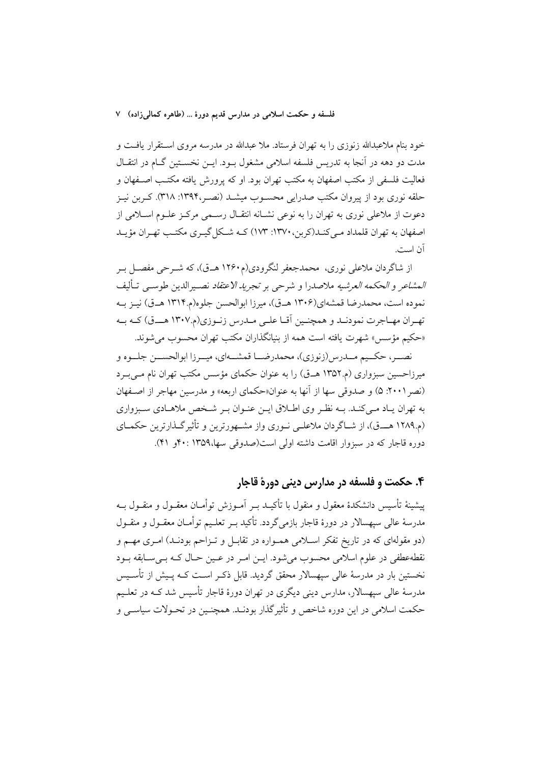خود بنام ملاعبدالله زنوزی را به تهران فرستاد. ملا عبدالله در مدرسه مروی اسـتقرار یافـت و مدت دو دهه در آنجا به تدریس فلسفه اسلامی مشغول بـود. ایــن نخســتین گــام در انتقــال فعالیت فلسفی از مکتب اصفهان به مکتب تهران بود. او که پرورش یافته مکتـب اصـفهان و حلقه نوری بود از پیروان مکتب صدرایی محسـوب میشـد (نصـر،۱۳۹۴: ۳۱۸). کـربن نیـز دعوت از ملاعلی نوری به تهران را به نوعی نشـانه انتقـال رسـمی مرکـز علـوم اسـلامی از اصفهان به تهران قلمداد مـي كنـد(كربن، ١٣٧٠: ١٧٣) كــه شــكل گيــرى مكتــب تهـران مؤيــد آن است.

از شاگردان ملاعلی نوری، محمدجعفر لنگرودی(م۱۲۶۰ هـق)، که شــرحی مفصــل بــر *المشاعر و الحكمه العرشيه* ملاصدرا و شرحى بر *تجريد الاعتقاد* نصـيرالدين طوسـي تـأليف نمو ده است، محمدرضا قمشهای(۱۳۰۶ هـ ق)، میرزا ابوالحسن جلوه(م۱۳۱۴ هـ ق) نیـز بـه تهـران مهـاجرت نمودنـد و همچنـين أقـا علـي مـدرس زنـوزي(م.١٣٠٧ هــق) كـه بـه «حکیم مؤسس» شهرت یافته است همه از بنیانگذاران مکتب تهران محسوب می شوند.

نصــر، حكــيم مــدرس(زنوزي)، محمدرضــا قمشـــهاي، ميــرزا ابوالحســن جلــوه و میرزاحسین سبزواری (م.۱۳۵۲ هــق) را به عنوان حکمای مؤسس مکتب تهران نام مــی بــرد (نصر ٢٠٠١: ۵) و صدوقي سها از آنها به عنوان«حكماي اربعه» و مدرسين مهاجر از اصفهان به تهران پیاد می کنید. بیه نظیر وی اطبلاق ایین عنبوان بیر شیخص ملاهیادی سیبزواری (م.۱۲۸۹ هــــق)، از شــاگردان ملاعلــي نــوري واز مشــهورترين و تأثير گــذارترين حكمــاي دوره قاجار که در سبزوار اقامت داشته اولی است(صدوقی سها،۱۳۵۹ :۴۰ و ۴۱).

۴. حکمت و فلسفه در مدارس دینی دورهٔ قاجار

پیشینهٔ تأسیس دانشکدهٔ معقول و منقول با تأکیــد بــر آمــوزش توأمــان معقــول و منقــول بــه مدرسهٔ عالمی سپهسالار در دورهٔ قاجار بازمیگردد. تأکید بــر تعلــیم توأمــان معقــول و منقــول (دو مقولهای که در تاریخ تفکر اسلامی همـواره در تقابـل و تـزاحم بودنـد) امـری مهـم و نقطهعطفی در علوم اسلامی محسوب میشود. ایــن امــر در عــین حـال کــه بــیســابقه بــود نخستین بار در مدرسهٔ عالی سیهسالار محقق گردید. قابل ذکـر اسـت کـه پـیش از تأسـیس مدرسهٔ عالمی سپهسالار، مدارس دینی دیگری در تهران دورهٔ قاجار تأسیس شد کـه در تعلـیم حکمت اسلامی در این دوره شاخص و تأثیرگذار بودنـد. همچنـین در تحـولات سیاسـی و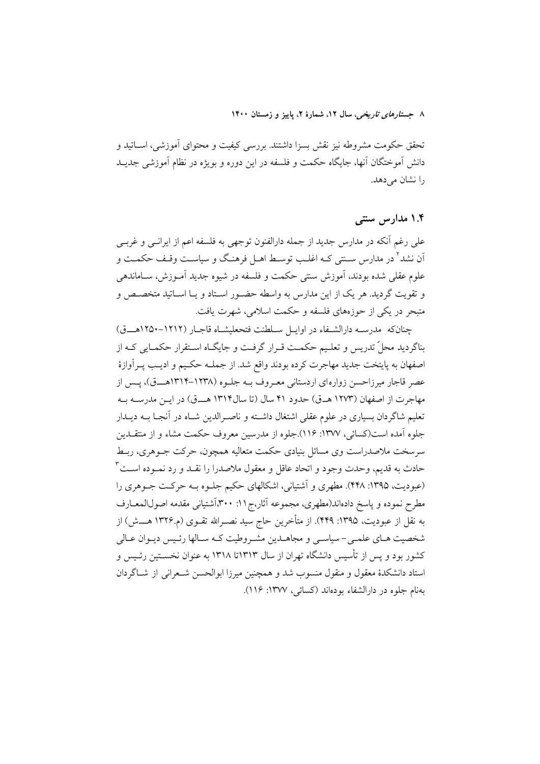تحقق حکومت مشروطه نیز نقش بسزا داشتند. بررسی کیفیت و محتوای آموزشی، اســاتید و دانش آموختگان آنها، جایگاه حکمت و فلسفه در این دوره و بویژه در نظام آموزشی جدیــد را نشان می دهد.

## ۱.۴ مدار س سنتی

علی رغم أنکه در مدارس جدید از جمله دارالفنون توجهی به فلسفه اعم از ایرانـی و غربـی اّن نشد<sup>۲</sup> در مدارس سـنتی کـه اغلـب توسـط اهـل فرهنگ و سیاسـت وقـف حکمـت و علوم عقلي شده بودند، آموزش سنتي حكمت و فلسفه در شيوه جديد آمــوزش، ســاماندهي و تقويت گرديد. هر يک از اين مدارس به واسطه حضـور اسـتاد و يــا اســاتيد متخصــص و متبحر در یکی از حوزههای فلسفه و حکمت اسلامی، شهرت یافت.

جنانكه مدرسه دارالشـفاء در اوايـل سـلطنت فتحعليشـاه قاجـار (١٢١٢-١٢٥٠هـــق) بناگردید محلّ تدریس و تعلیم حکمت قـرار گرفـت و جایگـاه اسـتقرار حکمـایی کـه از اصفهان به پایتخت جدید مهاجرت کرده بودند واقع شد. از جملـه حکـیم و ادیـب پـرآوازهٔ عصر قاجار میرزاحسن زوارهای اردستانی معـروف بـه جلـوه (۱۲۳۸–۱۳۱۴هـــق)، پـس از مهاجرت از اصفهان (۱۲۷۳ هـ.ق) حدود ۴۱ سال (تا سال۱۳۱۴ هــ.ق) در ایــن مدرســه بــه تعلیم شاگردان بسیاری در علوم عقلی اشتغال داشـته و ناصـرالدین شـاه در آنجـا بــه دیــدار جلوه آمده است(کسائی، ۱۳۷۷: ۱۱۶).جلوه از مدرسین معروف حکمت مشاء و از منتقــدین سرسخت ملاصدراست وي مسائل بنيادي حكمت متعاليه همچون، حركت جــوهري، ربــط حادث به قديم، وحدت وجود و اتحاد عاقل و معقول ملاصدرا را نقــد و رد نمــوده اســت ّ (عبودیت، ۱۳۹۵: ۴۴۸). مطهری و آشتیانی، اشکالهای حکیم جلـوه بـه حرکـت جـوهری را مطرح نموده و پاسخ دادهاند(مطهری، مجموعه آثار،ج۱۱: ۳۰۰}أشتیانی مقدمه اصولالمعــارف به نقل از عبودیت، ۱۳۹۵: ۴۴۹). از متأخرین حاج سید نصـرالله تقــوی (م.۱۳۲۶ هــــش) از شخصیت هـاي علمـي-سياسـي و مجاهــدين مشـروطيت كـه سـالها رئـيس ديــوان عــالي کشور بود و پس از تأسیس دانشگاه تهران از سال ۱۳۱۳تا ۱۳۱۸ به عنوان نخســتین رئــیس و استاد دانشکدهٔ معقول و منقول منسوب شد و همچنین میرزا ابوالحسن شـعرانی از شــاگردان بهنام جلوه در دارالشفاء بودهاند (كسائي، ١٣٧٧: ١١۶).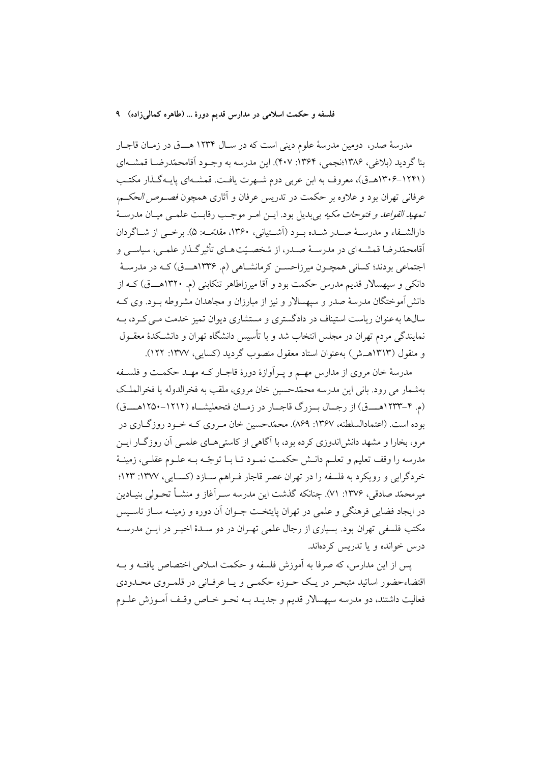مدرسهٔ صدر، دومین مدرسهٔ علوم دینی است که در سـال ۱۲۳۴ هـــق در زمـان قاجـار بنا گردید (بلاغی، ۱۳۸۶؛نجمی، ۱۳۶۴: ۴۰۷). این مدرسه به وجـود آقامحمّدرضـا قمشــهای (۱۲۴۱–۱۳۰۶هـق)، معروف به ابن عربی دوم شـهرت یافـت. قمشـهای پایـهگـذار مكتـب عرفاني تهران بود و علاوه بر حكمت در تدريس عرفان و آثاري همچون *فصـوص الحكـم، تمهيد القواعد و فتوحات مكيه* بي بديل بود. ايــن امــر موجـب رقابـت علمــي ميــان مدرســهٔ دارالشــفاء و مدرســهٔ صــدر شــده بــود (اَشــتیانی، ۱۳۶۰، مقدّمــه: ۵). برخــی از شــاگردان اّقامحمّدرضا قمشـهاي در مدرسـهٔ صـدر، از شخصـيّتهـاي تأثيرگـذار علمـي، سياسـي و اجتماعي بودند؛ کساني همچـون ميرزاحســن کرمانشــاهي (م. ۱۳۳۶هـــق) کــه در مدرســهٔ دانکی و سپهسالار قدیم مدرس حکمت بود و آقا میرزاطاهر تنکابنی (م. ۱۳۲۰هــق) کـه از دانش آموختگان مدرسهٔ صدر و سیهسالار و نیز از مبارزان و مجاهدان مشروطه بــود. وی کــه سالها به عنوان ریاست استیناف در دادگستری و مستشاری دیوان تمیز خدمت مـی کـرد، بـه نمایندگی مردم تهران در مجلس انتخاب شد و با تأسس دانشگاه تهران و دانشبکدهٔ معقبول و منقول (۱۳۱۳هـش) بهعنوان استاد معقول منصوب گردید (کسایی، ۱۳۷۷: ۱۲۲).

مدرسهٔ خان مروی از مدارس مهـم و پـرآوازهٔ دورهٔ قاجـار کـه مهـد حکمـت و فلسـفه بهشمار مي رود. باني اين مدرسه محمّدحسين خان مروى، ملقب به فخرالدوله يا فخرالملك (م. ۴-۱۲۳۳هـــق) از رجـال بـزرگ قاجـار در زمـان فتحعليشـاه (١٢١٢-١٢٥٠هـــق) بوده است. (اعتمادالسلطنه، ۱۳۶۷: ۸۶۹). محمّدحسین خان مـروی کـه خـود روزگــاری در مرو، بخارا و مشهد دانشاندوزی کرده بود، با آگاهی از کاستی هـای علمـی آن روزگـار ایـن مدرسه را وقف تعليم و تعلــم دانــش حكمــت نمــود تــا بــا توجّــه بــه علــوم عقلــي، زمينــهٔ خردگرایی و رویکرد به فلسفه را در تهران عصر قاجار فـراهم سـازد (کسـایی، ۱۳۷۷: ۱۲۳ میرمحمّد صادقی، ۱۳۷۶: ۷۱). چنانکه گذشت این مدرسه سـراَغاز و منشــأ تحــولی بنیــادین در ايجاد فضايي فرهنگي و علمي در تهران پايتخـت جــوان آن دوره و زمينــه ســاز تاســيس مکتب فلسفی تهران بود. بسیاری از رجال علمی تهـران در دو سـدهٔ اخیـر در ایــن مدرسـه درس خوانده و یا تدریس کردماند.

يس از اين مدارس، كه صرفا به آموزش فلسفه و حكمت اسلامي اختصاص يافتــه و بــه اقتضاءحضور اساتید متبحـر در یـک حـوزه حکمـی و یـا عرفـانی در قلمـروی محـدودی فعاليت داشتند، دو مدرسه سيهسالار قديم و جديــد بــه نحــو خــاص وقــف أمــوزش علــوم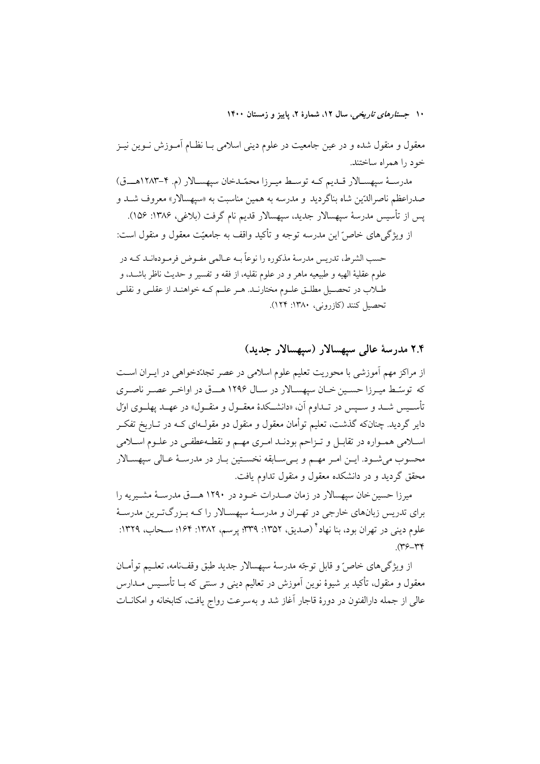معقول و منقول شده و در عین جامعیت در علوم دینی اسلامی بـا نظـام آمـوزش نــوین نیــز خود را همراه ساختند.

مدرسة سيهسـالار قـديم كـه توسـط ميـرزا محمّـدخان سيهسـالار (م. ٢-١٢٨٣هــق) صدراعظم ناصرالدّين شاه بناگرديد و مدرسه به همين مناسبت به «سيهسالار» معروف شـد و پس از تأسیس مدرسهٔ سیهسالار جدید، سیهسالار قدیم نام گرفت (بلاغی، ۱۳۸۶: ۱۵۶).

از ویژگی های خاص ّاین مدرسه توجه و تأکید واقف به جامعیّت معقول و منقول است:

حسب الشرط، تدريس مدرسهٔ مذکوره را نوعاً بــه عــالمي مفــوض فرمــودهانــد کــه در علوم عقلية الهيه و طبيعيه ماهر و در علوم نقليه، از فقه و تفسير و حديث ناظر باشــد، و طـلاب در تحصـيل مطلــق علــوم مختارنــد. هــر علــم کــه خواهنــد از عقلــي و نقلــي تحصيل كنند (كازروني، ١٣٨٠: ١٢٤).

٢.۴ مدرسة عالى سيهسالار (سيهسالار جديد)

از مراکز مهم آموزشی با محوریت تعلیم علوم اسلامی در عصر تجددخواهی در ایـران اسـت که توسّط میـرزا حسـین خـان سپهسـالار در سـال ۱۲۹۶ هـــق در اواخـر عصـر ناصـرى تأســيس شــد و ســيس در تــداوم آن. «دانشــكدهٔ معقــول و منقــول» در عهــد يهلــوي اول دایر گردید. چنانکه گذشت، تعلیم توأمان معقول و منقول دو مقولـهای کــه در تــاریخ تفکــر اسلامی همـواره در تقابـل و تـزاحم بودنـد امـری مهـم و نقطـهعطفـی در علـوم اسـلامی محسوب مي شـود. ايــن امـر مهــم و بــي ســابقه نخســتين بــار در مدرســهٔ عــالى سيهســالار محقق گردید و در دانشکده معقول و منقول تداوم یافت.

میرزا حسین خان سیهسالار در زمان صـدرات خـود در ۱۲۹۰ هـــق مدرســهٔ مشــیریه را برای تدریس زبانهای خارجی در تهـران و مدرسـهٔ سپهسـالار را کـه بـزرگتـرین مدرسـهٔ علوم دینی در تهران بود، بنا نهاد ٔ (صدیق، ۱۳۵۲: ۳۳۹؛ پرسم، ۱۳۸۲: ۱۶۴؛ ســحاب، ۱۳۲۹:  $(\Upsilon - \Upsilon)$ 

از ويژگي هاي خاصّ و قابل توجّه مدرسهٔ سيهسالار جديد طبق وقفنامه، تعلـيم توأمــان معقول و منقول، تأکید بر شیوهٔ نوین اَموزش در تعالیم دینی و سنتی که بــا تأســیس مــدارس عالی از جمله دارالفنون در دورهٔ قاجار آغاز شد و بهسرعت رواج یافت، کتابخانه و امکانــات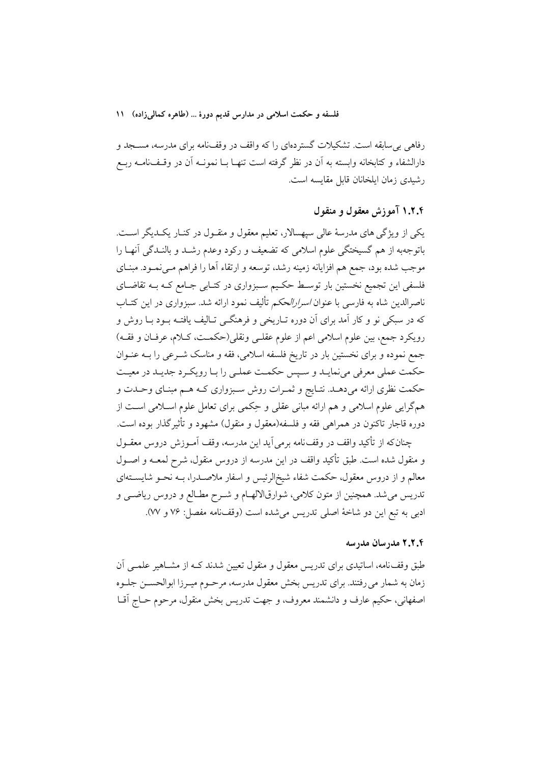رفاهی بی سابقه است. تشکیلات گستردهای را که واقف در وقف:امه برای مدرسه، مسـجد و دارالشفاء و کتابخانه وابسته به آن در نظر گرفته است تنهـا بـا نمونــه آن در وقــفــانامــه ربــع رشیدی زمان ایلخانان قابل مقایسه است.

## ۱.۲.۴ آموزش معقول و منقول

یکی از ویژگی های مدرسهٔ عالی سیهسالار، تعلیم معقول و منقـول در کنــار یکــدیگر اســت. باتوجهبه از هم گسیختگی علوم اسلامی که تضعیف و رکود وعدم رشـد و بالنـدگی آنهـا را موجب شده بود، جمع هم افزایانه زمینه رشد، توسعه و ارتقاء آها را فراهم مـیiمـود. مبنـای فلسفی این تجمیع نخستین بار توسط حکیم سـبزواری در کتـابی جـامع کـه بـه تقاضـای ناصرالدين شاه به فارسي با عنوان *اسرارالحكم* تأليف نمود ارائه شد. سبزواري در اين كتــاب که در سبکی نو و کار آمد برای آن دوره تـاریخی و فرهنگــی تـالیف یافتــه بــود بــا روش و رويكرد جمع، بين علوم اسلامي اعم از علوم عقلـي ونقلي(حكمـت، كـلام، عرفـان و فقــه) جمع نموده و برای نخستین بار در تاریخ فلسفه اسلامی، فقه و مناسک شـرعی را بــه عنــوان حکمت عملی معرفی می نمایـد و سـپس حکمـت عملـی را بـا رویکـرد جدیـد در معیـت حکمت نظری ارائه میدهـد. نتـایج و ثمـرات روش سـبزواری کـه هـم مبنـای وحـدت و همگرایی علوم اسلامی و هم ارائه مبانی عقلی و حِکمی برای تعامل علوم اسـلامی اسـت از دوره قاجار تاکنون در همراهی فقه و فلسفه(معقول و منقول) مشهود و تأثیرگذار بوده است.

چنان که از تأکید واقف در وقف نامه برمی آید این مدرسه، وقف آمـوزش دروس معقـول و منقول شده است. طبق تأکید واقف در این مدرسه از دروس منقول، شرح لمعــه و اصــول معالم و از دروس معقول، حکمت شفاء شیخ|لرئیس و اسفار ملاصـدرا، بــه نحــو شایســتهای تدریس می شد. همچنین از متون کلامی، شوارقالالهــام و شــرح مطــالع و دروس ریاضــی و ادبي به تبع اين دو شاخهٔ اصلي تدريس مي شده است (وقف(امه مفصل: ٧۶ و ٧٧).

## ٢.٢.٢ مدرسان مدرسه

طبق وقف نامه، اساتیدی برای تدریس معقول و منقول تعیین شدند کـه از مشــاهیر علمــی اَن زمان به شمار می رفتند. برای تدریس بخش معقول مدرسه، مرحـوم میـرزا ابوالحســن جلــوه اصفهاني، حکيم عارف و دانشمند معروف، و جهت تدريس بخش منقول، مرحوم حــاج اّقــا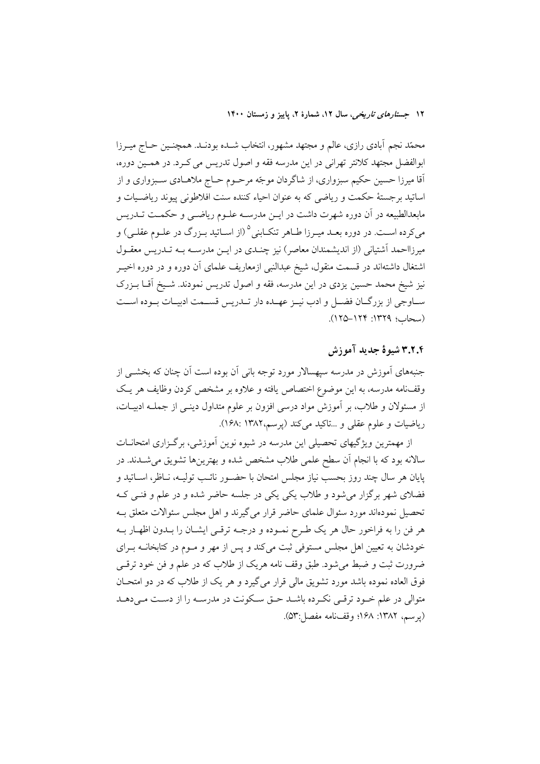محمّد نجم آبادی رازی، عالم و مجتهد مشهور، انتخاب شــده بودنــد. همچنــین حــاج میــرزا ابوالفضل مجتهد كلانتر تهراني در اين مدرسه فقه و اصول تدريس مي كـرد. در همـين دوره، آقا میرزا حسین حکیم سبزواری، از شاگردان موجّه مرحـوم حـاج ملاهــادی ســبزواری و از اساتيد برجستهٔ حكمت و رياضي كه به عنوان احياء كننده سنت افلاطوني پيوند رياضـيات و مابعدالطبیعه در آن دوره شهرت داشت در ایــن مدرســه علــوم ریاضــی و حکمــت تــدریس میکرده اسـت. در دوره بعـد میـرزا طــاهر تنکــابنی<sup>۵</sup> (از اســاتید بــزرگ در علــوم عقلــی) و میرزااحمد آشتیانی (از اندیشمندان معاصر) نیز چنـدی در ایــن مدرســه بــه تــدریس معقــول اشتغال داشتهاند در قسمت منقول، شیخ عبدالنبی ازمعاریف علمای آن دوره و در دوره اخیــر نیز شیخ محمد حسین یزدی در این مدرسه، فقه و اصول تدریس نمودند. شـیخ آقــا بــزرک سـاوجي از بزرگــان فضــل و ادب نيــز عهــده دار تــدريس قســمت ادبيــات بــوده اســت (سحاب؛ ١٣٢٩: ١٢٩–١٢٥).

## 3.2.3 شيوة جديد آموزش

جنبههای آموزش در مدرسه سپهسالار مورد توجه بانی آن بوده است آن چنان که بخشــی از وقف نامه مدرسه، به این موضوع اختصاص یافته و علاوه بر مشخص کردن وظایف هر یک از مسئولان و طلاب، بر آموزش مواد درسی افزون بر علوم متداول دینبی از جملـه ادبیـات، رياضيات و علوم عقلي و ...تاكيد مي كند (يوسم،١٣٨٢ :١۶٨).

از مهمترین ویژگیهای تحصیلی این مدرسه در شیوه نوین آموزشی، برگـزاری امتحانــات سالانه بود که با انجام آن سطح علمی طلاب مشخص شده و بهترینها تشویق می شــدند. در پایان هر سال چند روز بحسب نیاز مجلس امتحان با حضـور نائـب تولیـه، نـاظر، اســاتید و فضلای شهر برگزار می شود و طلاب یکی یکی در جلسه حاضر شده و در علم و فنبی کـه تحصیل نمودهاند مورد سئوال علمای حاضر قرار می گیرند و اهل مجلس سئوالات متعلق بـه هر فن را به فراخور حال هر يک طـرح نمـوده و درجـه ترقـى ايشـان را بـدون اظهـار بـه خودشان به تعیین اهل مجلس مستوفی ثبت میکند و پس از مهر و مـوم در کتابخانــه بـرای ضرورت ثبت و ضبط می شود. طبق وقف نامه هریک از طلاب که در علم و فن خود ترقبی فوق العاده نموده باشد مورد تشويق مالي قرار مي گيرد و هر يک از طلاب که در دو امتحــان متوالی در علم خـود ترقـی نکـرده باشـد حـق سـکونت در مدرسـه را از دسـت مـی دهـد (يوسم، ١٣٨٢: ١۶٨؛ وقفنامه مفصل:٥٣).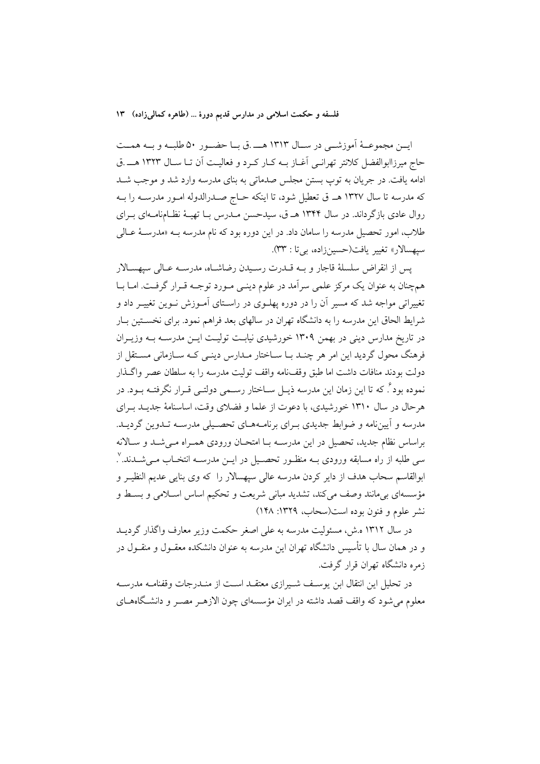ايـــن مجموعـــهٔ آموزشـــي در ســـال ١٣١٣ هـــــ .ق بـــا حضـــور ٥٠ طلبـــه و بـــه همـــت حاج ميرزاابوالفضل كلانتر تهرانبي أغــاز بــه كــار كــرد و فعاليــت أن تــا ســال ١٣٢٣ هــــ.ق ادامه یافت. در جریان به توپ بستن مجلس صدماتی به بنای مدرسه وارد شد و موجب شـد كه مدرسه تا سال ۱۳۲۷ هـ ق تعطيل شود، تا اينكه حـاج صـدرالدوله امـور مدرسـه را بــه روال عادی بازگرداند. در سال ۱۳۴۴ هـ ق، سیدحسن مـدرس بــا تهیــهٔ نظــامنامــهای بــرای طلاب، امور تحصیل مدرسه را سامان داد. در این دوره بود که نام مدرسه بــه «مدرســهٔ عــالمي سيهسالار» تغيير يافت(حسينزاده، بيتا : ٣٣).

يس از انقراض سلسلة قاجار وبه قلدرت رسيدن رضاشاه، مدرسه عبالي سپهسبالار همچنان به عنوان یک مرکز علمی سرآمد در علوم دینـی مـورد توجـه قـرار گرفـت. امـا بـا تغییراتی مواجه شد که مسیر آن را در دوره پهلـوی در راسـتای آمـوزش نـوین تغییـر داد و شرایط الحاق این مدرسه را به دانشگاه تهران در سالهای بعد فراهم نمود. برای نخسـتین بـار در تاریخ مدارس دینی در بهمن ۱۳۰۹ خورشیدی نیابـت تولیـت ایــن مدرســه بــه وزیــران فرهنگ محول گردید این امر هر چنـد بـا سـاختار مـدارس دینـی کـه سـازمانی مسـتقل از دولت بودند منافات داشت اما طبق وقف نامه واقف توليت مدرسه را به سلطان عصر واگـذار نموده بود ً. که تا این زمان این مدرسه ذیـل ســاختار رســمی دولتــی قــرار نگرفتــه بــود. در هر حال در سال ۱۳۱۰ خورشیدی، با دعوت از علما و فضلای وقت، اساسنامهٔ جدیـد بـرای مدرسه و آییننامه و ضوابط جدیدی بـرای برنامـههـای تحصـیلی مدرسـه تـدوین گردیـد. براساس نظام جدید، تحصیل در این مدرسـه بـا امتحـان ورودی همـراه مـیشـد و سـالانه سی طلبه از راه مسابقه ورودی بــه منظــور تحصــیل در ایــن مدرســه انتخــاب مــیشــدند. ْ. ابوالقاسم سحاب هدف از دایر کردن مدرسه عالی سپهسالار را که وی بنایی عدیم النظیـر و مؤسسهای بیمانند وصف میکند، تشدید مبانی شریعت و تحکیم اساس اسـلامی و بسـط و نشر علوم و فنون بوده است(سحاب، ١٣٢٩: ١٤٨)

در سال ۱۳۱۲ ه.ش، مسئولیت مدرسه به علی اصغر حکمت وزیر معارف واگذار گردیــد و در همان سال با تأسیس دانشگاه تهران این مدرسه به عنوان دانشکده معقـول و منقـول در زمره دانشگاه تهران قرار گرفت.

در تحليل اين انتقال ابن يوسـف شـيرازي معتقـد اسـت از منـدرجات وقفنامـه مدرسـه معلوم می شود که واقف قصد داشته در ایران مؤسسهای چون الازهـر مصـر و دانشـگاههــای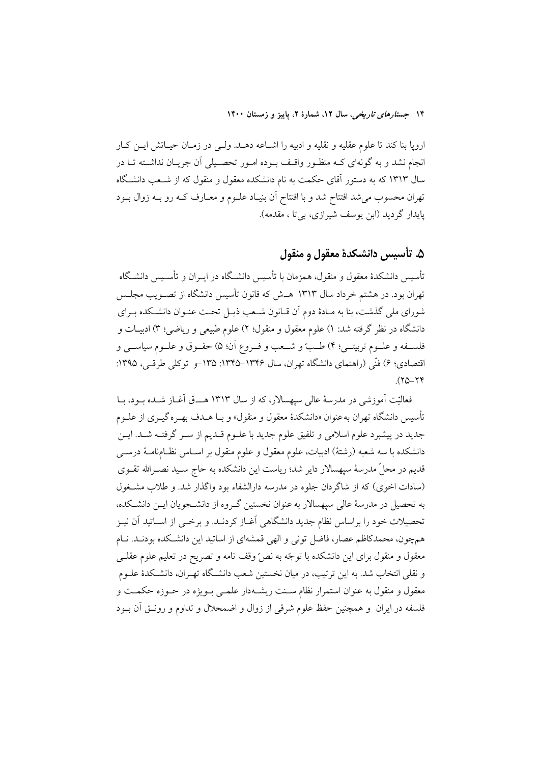اروپا بنا كند تا علوم عقليه و نقليه و ادبيه را اشـاعه دهـد. ولـي در زمـان حيـاتش ايـن كـار انجام نشد و به گونهای کـه منظـور واقـف بـوده امـور تحصـیلی آن جریـان نداشـته تـا در سال ۱۳۱۳ که به دستور آقای حکمت به نام دانشکده معقول و منقول که از شـعب دانشـگاه تهران محسوب می شد افتتاح شد و با افتتاح آن بنیـاد علــوم و معــارف کــه رو بــه زوال بــود يايدار گرديد (ابن يوسف شيرازي، بي تا ، مقدمه).

# ۵. تأسيس دانشكدهٔ معقول و منقول

تأسیس دانشکدهٔ معقول و منقول، همزمان با تأسیس دانشـگاه در ایــران و تأســیس دانشـگاه تهران بود. در هشتم خرداد سال ۱۳۱۳ هــش که قانون تأسیس دانشگاه از تصــویب مجلــس شورای ملی گذشت، بنا به مـادهٔ دوم آن قـانون شـعب ذیـل تحـت عنـوان دانشـكده بـرای دانشگاه در نظر گرفته شد: ۱) علوم معقول و منقول؛ ۲) علوم طبیعی و ریاضی؛ ۳) ادبیـات و فلســفه و علــوم تربيتــي؛ ۴) طــبّ و شـــعب و فــروع أن؛ ۵) حقــوق و علــوم سياســـي و اقتصادي؛ ۶) فنّي (راهنماي دانشگاه تهران، سال ۱۳۴۶–۱۳۴۵: ۱۳۵–و توكلي طرقبي، ۱۳۹۵:  $(50 - 74)$ 

فعالیّت اَموزشی در مدرسهٔ عالی سیهسالار، که از سال ۱۳۱۳ هـــق اَغــاز شــده بــود، بــا .<br>تأسيس دانشگاه تهران به عنوان «دانشكدهٔ معقول و منقول» و بــا هــدف بهــره گيــري از علــوم جدید در پیشبرد علوم اسلامی و تلفیق علوم جدید با علـوم قـدیم از سـر گرفتـه شـد. ایــن دانشکده با سه شعبه (رشتهٔ) ادبیات، علوم معقول و علوم منقول بر اســاس نظــامٖنامــهٔ درســـی قدیم در محلّ مدرسهٔ سپهسالار دایر شد؛ ریاست این دانشکده به حاج سـید نصـرالله تقــوی (سادات اخوی) که از شاگردان جلوه در مدرسه دارالشفاء بود واگذار شد. و طلاب مشخول به تحصیل در مدرسهٔ عالمی سیهسالار به عنوان نخستین گـروه از دانشــجویان ایــن دانشــکده، تحصیلات خود را براساس نظام جدید دانشگاهی آغـاز کردنــد. و برخــی از اســاتید آن نیــز همچون، محمدکاظم عصار، فاضل تونی و الهی قمشهای از اساتید این دانشکده بودنـد. نــام معقول و منقول برای این دانشکده با توجّه به نصّ وقف نامه و تصریح در تعلیم علوم عقلـی و نقلی انتخاب شد. به این ترتیب، در میان نخستین شعب دانشـگاه تهـران، دانشـکدهٔ علــوم معقول و منقول به عنوان استمرار نظام سـنت ریشـهدار علمـی بـویژه در حـوزه حکمـت و فلسفه در ایران و همچنین حفظ علوم شرقی از زوال و اضمحلال و تداوم و رونـق آن بــود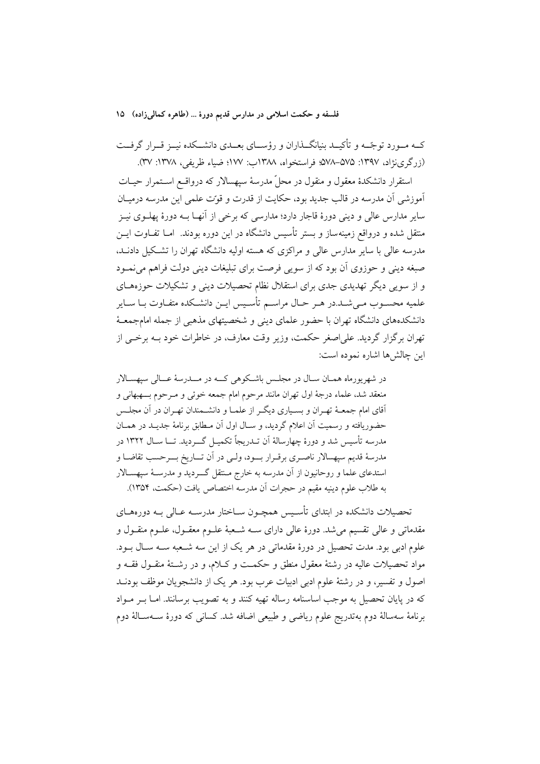کــه مــورد توجّــه و تأکیــد بنیانگــذاران و رؤســای بعــدی دانشــکده نیــز قــرار گرفــت (زرگری(نژاد، ۱۳۹۷: ۵۷۵–۵۷۸؛ فراستخواه، ۱۳۸۸ب: ۱۷۷؛ ضیاء ظریفی، ۱۳۷۸: ۳۷).

استقرار دانشکدهٔ معقول و منقول در محلّ مدرسهٔ سیهسالار که درواقــع اســتمرار حیــات آموزشی آن مدرسه در قالب جدید بود، حکایت از قدرت و قوّت علمی این مدرسه درمیـان سایر مدارس عالی و دینی دورهٔ قاجار دارد؛ مدارسی که برخی از آنهـا بــه دورهٔ پهلــوی نیــز متقل شده و درواقع زمینهساز و بستر تأسیس دانشگاه در این دوره بودند. امــا تفــاوت ایــن مدرسه عالمی با سایر مدارس عالمی و مراکزی که هسته اولیه دانشگاه تهران را تشکیل دادنــد، صبغه دینی و حوزوی آن بود که از سویی فرصت برای تبلیغات دینی دولت فراهم می نمـود و از سوپی دیگر تهدیدی جدی برای استقلال نظام تحصیلات دینی و تشکیلات حوزههـای علمیه محسـوب مـی شـد.در هـر حـال مراسـم تأسـیس ایـن دانشـکده متفـاوت بـا ســایر دانشکدههای دانشگاه تهران با حضور علمای دینی و شخصیتهای مذهبی از جمله امامجمعـهٔ تهران برگزار گردید. علی|صغر حکمت، وزیر وقت معارف، در خاطرات خود بـه برخــی از اين چالش ها اشاره نموده است:

در شهر پورماه همـان سـال در مجلـس باشـكوهي كــه در مـــدرسهٔ عـــالي سيهســالار منعقد شد، علماء درجهٔ اول تهران مانند مرحوم امام جمعه خوئی و مـرحوم بـــهبهانی و آقای امام جمعـهٔ تهـران و بسـیاری دیگـر از علمـا و دانشـمندان تهـران در آن مجلـس حضوریافته و رسمیت آن اعلام گردید، و سـال اول آن مـطابق برنامهٔ جدیـد در همـان مدرسه تأسیس شد و دورهٔ چهارسالهٔ اَن تــدریجاً تکمیــل گــــردید. تـــا ســال ۱۳۲۲ در مدرسهٔ قدیم سپهسالار ناصـری برقـرار بــود، ولـی در آن تــاریخ بـــرحسب تقاضــا و استدعای علما و روحانیون از آن مدرسه به خارج مـنتقل گـــردید و مدرســهٔ سپهســالار به طلاب علوم دينيه مقيم در حجرات أن مدرسه اختصاص يافت (حكمت، ١٣۵۴).

تحصیلات دانشکده در ابتدای تأسـیس همچـون سـاختار مدرســه عـالی بــه دورههــای مقدماتی و عالی تقسیم میشد. دورهٔ عالی دارای سـه شـعبهٔ علـوم معقـول، علـوم منقـول و علوم ادبی بود. مدت تحصیل در دورهٔ مقدماتی در هر یک از این سه شـعبه سـه سـال بــود. مواد تحصیلات عالیه در رشتهٔ معقول منطق و حکمـت و کـلام، و در رشـتهٔ منقــول فقــه و اصول و تفسیم، و در رشتهٔ علوم ادبی ادبیات عرب بود. هر یک از دانشجویان موظف بودنــد که در پایان تحصیل به موجب اساسنامه رساله تهیه کنند و به تصویب برسانند. امـا بـر مـواد برنامهٔ سەسالهٔ دوم بەتدریج علوم ریاضی و طبیعی اضافه شد. کسانی که دورهٔ ســهسـالهٔ دوم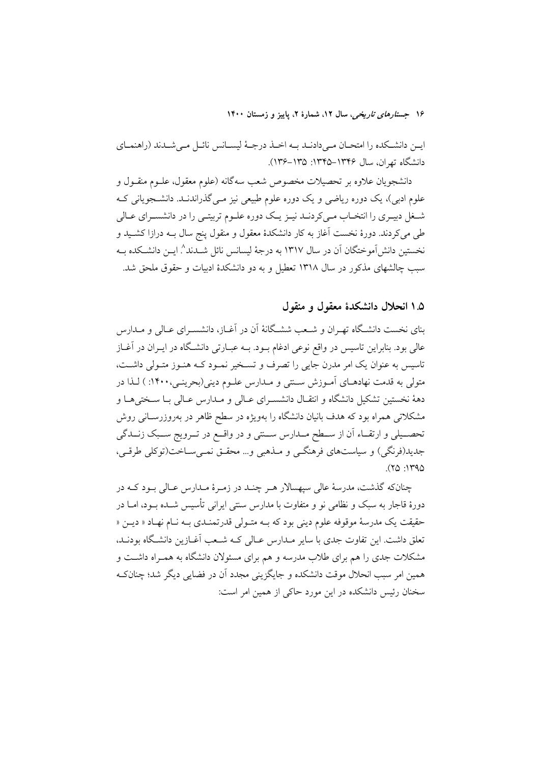ايــن دانشــكده را امتحــان مــىدادنــد بــه اخــذ درجــهٔ ليســانس نائــل مــىشــدند (راهنمــاي دانشگاه تهران، سال ۱۳۴۶–۱۳۴۵: ۱۳۵–۱۳۶).

دانشجویان علاوه بر تحصیلات مخصوص شعب سهگانه (علوم معقول، علــوم منقــول و علوم ادبی)، یک دوره ریاضی و یک دوره علوم طبیعی نیز مــی گذراندنــد. دانشــجویانی کــه شـغل دبیـری را انتخـاب مـیکردنـد نیـز یـک دوره علـوم تربیتـی را در دانشسـرای عـالی طی میکردند. دورهٔ نخست آغاز به کار دانشکدهٔ معقول و منقول پنج سال بــه درازا کشــید و نخستین دانش[موختگان آن در سال ۱۳۱۷ به درجهٔ لیسانس نائل شــدند^ ایــن دانشــکده بــه سبب چالشهای مذکور در سال ۱۳۱۸ تعطیل و به دو دانشکدهٔ ادبیات و حقوق ملحق شد.

#### ۱.۵ انحلال دانشکدهٔ معقول و منقول

بنای نخست دانشگاه تهـران و شـعب ششـگانهٔ آن در آغـاز، دانشسـرای عـالی و مـدارس عالی بود. بنابراین تاسیس در واقع نوعی ادغام بـود. بـه عبـارتی دانشـگاه در ایــران در آغــاز تاسیس به عنوان یک امر مدرن جایی را تصرف و تسـخیر نمـود کـه هنـوز متـولی داشـت، متولی به قدمت نهادهـای آمـوزش ســتی و مـدارس علـوم دینی(بحرینـی،۱۴۰۰: ) لـذا در دههٔ نخستین تشکیل دانشگاه و انتقـال دانشسـرای عـالی و مـدارس عـالی بـا سـختی۵ـا و مشکلاتی همراه بود که هدف بانیان دانشگاه را بهویژه در سطح ظاهر در بهروزرسـانی روش تحصـيلي و ارتقـاء أن از سـطح مـدارس ســتي و در واقــع در تــرويج ســبک زنــدگي جديد(فرنگي) و سياستهاي فرهنگــي و مــذهبي و… محقــق نمــي ســاخت(توکلي طرقــي،  $(50.1790)$ 

چنانکه گذشت، مدرسهٔ عالی سیهسالار هـر چنـد در زمـرهٔ مـدارس عـالی بـود کـه در دورهٔ قاجار به سبک و نظامی نو و متفاوت با مدارس سنتی ایرانی تأسیس شــده بــود، امــا در حقیقت یک مدرسهٔ موقوفه علوم دینی بود که بـه متـولی قدرتمنـدی بـه نـام نهـاد « دیــن « تعلق داشت. این تفاوت جدی با سایر مـدارس عـالی کـه شـعب آغــازین دانشـگاه بودنــد، مشکلات جدی را هم برای طلاب مدرسه و هم برای مسئولان دانشگاه به همـراه داشــت و همین امر سبب انحلال موقت دانشکده و جایگزینی مجدد آن در فضایی دیگر شد؛ چنانک سخنان رئیس دانشکده در این مورد حاکی از همین امر است: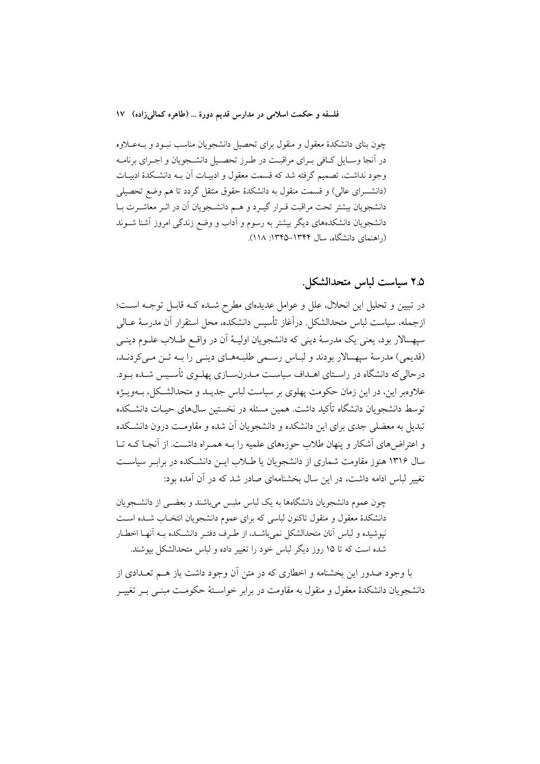چون بنای دانشکدهٔ معقول و منقول برای تحصیل دانشجویان مناسب نبـود و بـهعــلاوه در آنجا وسـايل كـافي بـراي مراقبـت در طـرز تحصـيل دانشـجويان و اجـراي برنامـه وجود نداشت، تصمیم گرفته شد که قسمت معقول و ادبیـات آن بــه دانشـکدهٔ ادبیـات (دانشسرای عالی) و قسمت منقول به دانشکدهٔ حقوق منتقل گردد تا هم وضع تحصیلی دانشجویان بیشتر تحت مراقبت قـرار گیـرد و هـم دانشـجویان آن در اثـر معاشـرت بـا دانشجویان دانشکدههای دیگر بیشتر به رسوم و اداب و وضع زندگی امروز اشنا شـوند (راهنمای دانشگاه، سال ۱۳۴۴–۱۳۴۵: ۱۱۸).

## ٢.۵ سياست لباس متحدالشكل.

در تبیین و تحلیل این انحلال، علل و عوامل عدیدهای مطرح شـده کـه قابـل توجـه اسـت؛ ازجمله، سياست لباس متحدالشكل. درآغاز تأسيس دانشكده، محل استقرار آن مدرسهٔ عــالي سپهسالار بود، یعنی یک مدرسهٔ دینی که دانشجویان اولیـهٔ اَن در واقـع طــلاب علــوم دینــی (قديمي) مدرسة سيهسالار بودند و لبـاس رسـمي طلبـههـاي دينـي را بـه تـن مـي كردنـد. درحالی که دانشگاه در راستای اهـداف سیاسـت مـدرن٬سـازی پهلـوی تأسـیس شـده بـود. علاوهبر این، در این زمان حکومت یهلوی بر سیاست لباس جدیــد و متحدالشــکل، بــهویــژه توسط دانشجویان دانشگاه تأکید داشت. همین مسئله در نخستین سال@ای حیـات دانشـکده تبدیل به معضلی جدی برای این دانشکده و دانشجویان آن شده و مقاومت درون دانشکده و اعتراض های آشکار و پنهان طلاب حوزههای علمیه را بـه همـراه داشـت. از آنجـا کـه تـا سال ۱۳۱۶ هنوز مقاومت شماری از دانشجویان یا طـلاب ایــن دانشــکده در برابـر سیاســت تغییر لباس ادامه داشت، در این سال بخشنامهای صادر شد که در آن آمده بود:

چون عموم دانشجویان دانشگاهها به یک لباس ملبس می باشند و بعضبی از دانشــجویان دانشکدهٔ معقول و منقول تاکنون لباسی که برای عموم دانشجویان انتخـاب شـده اسـت نيوشيده و لباس آنان متحدالشكل نمي باشـد، از طـرف دفتـر دانشـكده بـه آنهـا اخطـار شده است که تا ۱۵ روز دیگر لباس خود را تغییر داده و لباس متحدالشکل بیوشند.

با وجود صدور این بخشنامه و اخطاری که در متن اَن وجود داشت باز هــم تعــدادی از دانشجویان دانشکدهٔ معقول و منقول به مقاومت در برابر خواسـتهٔ حکومـت مبنــی بــر تغییــر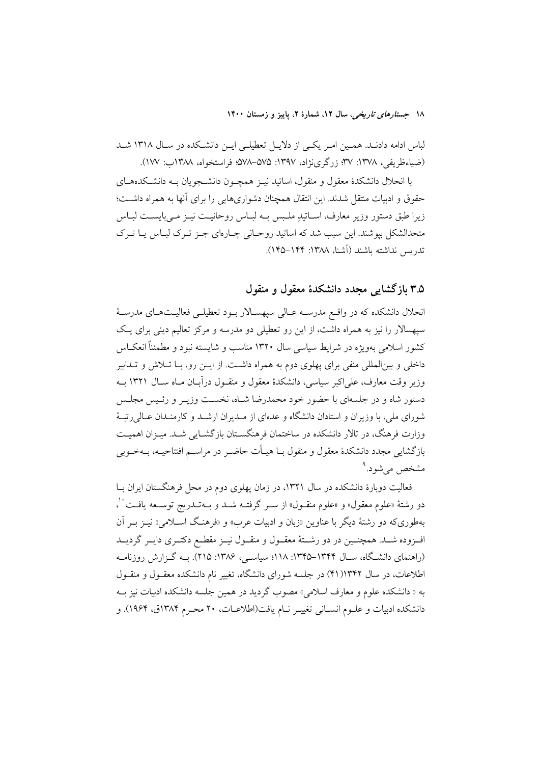لباس ادامه دادنـد. همـين امـر يكـي از دلايـل تعطيلـي ايـن دانشـكده در سـال ١٣١٨ شـد (ضياءظريفي، ١٣٧٨: ٣٧؛ زرگرينژاد، ١٣٩٧: ٥٧۵–٥٧٨؛ فراستخواه، ١٣٨٨ب: ١٧٧).

با انحلال دانشکدهٔ معقول و منقول، اساتید نیـز همچـون دانشــجویان بــه دانشــکدههــای حقوق و ادبیات منتقل شدند. این انتقال همچنان دشواریهایی را برای آنها به همراه داشت؛ زیرا طبق دستور وزیر معارف، اسـاتیدِ ملـبس بـه لبـاس روحانیـت نیـز مـیبایسـت لبـاس متحدالشکل بیوشند. این سبب شد که اساتید روحـانی چـارهای جـز تـرک لبـاس پـا تـرک تدريس نداشته باشند (أشنا، ١٣٨٨: ١۴۴–١۴۵).

## ۳.۵ بازگشایی مجدد دانشکدهٔ معقول و منقول

انحلال دانشکده که در واقع مدرسـه عـالی سیهسـالار بـود تعطیلـی فعالیـتهـای مدرسـهٔ سیهسالار را نیز به همراه داشت، از این رو تعطیلی دو مدرسه و مرکز تعالیم دینی برای یک کشور اسلامی بهویژه در شرایط سیاسی سال ۱۳۲۰ مناسب و شایسته نبود و مطمئناً انعکــاس داخلی و بینالمللی منفی برای یهلوی دوم به همراه داشت. از ایــن رو، بــا تــلاش و تــدابیر وزیر وقت معارف، علی اکبر سیاسی، دانشکدهٔ معقول و منقـول درآبـان مـاه سـال ۱۳۲۱ بــه دستور شاه و در جلسهای با حضور خود محمدرضا شـاه، نخسـت وزيـر و رئـيس مجلـس شورای ملی، با وزیران و استادان دانشگاه و عدهای از مــدیران ارشــد و کارمنــدان عــالی ِرتبــهٔ وزارت فرهنگ، در تالار دانشکده در ساختمان فرهنگسـتان بازگشـایی شـد. میـزان اهمیـت بازگشایی مجدد دانشکدهٔ معقول و منقول بــا هیــأت حاضــر در مراســم افتتاحیــه، بــهخــوبی مشخص می شود.<sup>۹</sup>

فعالیت دوبارهٔ دانشکده در سال ۱۳۲۱، در زمان پهلوی دوم در محل فرهنگستان ایران بـا دو رشتهٔ «علوم معقول» و «علوم منقــول» از ســر گرفتــه شــد و بــهتــدريج توســعه يافــت ``، بهطوریکه دو رشتهٔ دیگر با عناوین «زبان و ادبیات عرب» و «فرهنگ اسـلامی» نیـز بـر آن افـزوده شــد. همچنــين در دو رشــتهٔ معقــول و منقــول نيــز مقطــع دكتــرى دايــر گرديــد (راهنمای دانشگاه، سـال ۱۳۴۴–۱۳۴۵: ۱۱۸؛ سیاسـی، ۱۳۸۶: ۲۱۵). بــه گـزارش روزنامــه اطلاعات، در سال ۱۳۴۲(۴۱) در جلسه شورای دانشگاه، تغییر نام دانشکده معقـول و منقـول به « دانشکده علوم و معارف اسلامی» مصوب گردید در همین جلسه دانشکده ادبیات نیز ب دانشکده ادبیات و علــوم انســانی تغییــر نــام یافت(اطلاعــات، ۲۰ محــرم ۱۳۸۴ق، ۱۹۶۴). و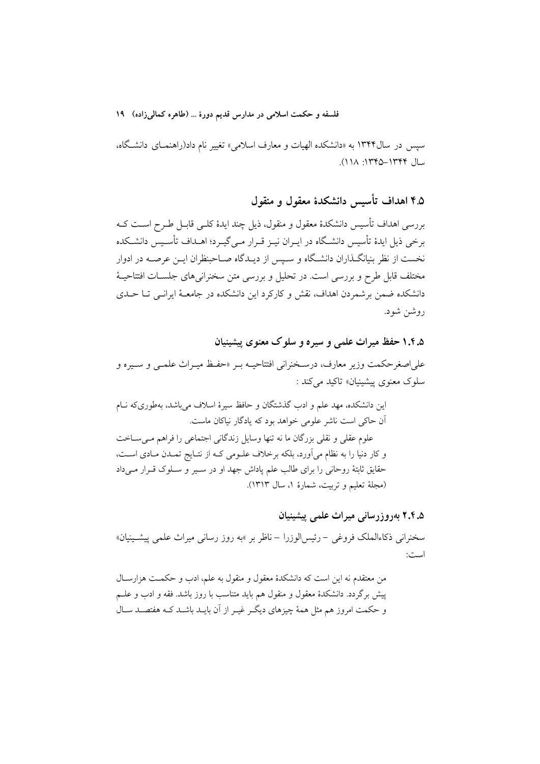سپس در سال۱۳۴۴ به «دانشکده الهیات و معارف اسلامی» تغییر نام داد(راهنمـای دانشـگاه، سال ۱۳۴۴–۱۳۴۵: ۱۱۸).

# ۴.۵ اهداف تأسیس دانشکدهٔ معقول و منقول

بررسی اهداف تأسیس دانشکدهٔ معقول و منقول، ذیل چند ایدهٔ کلـی قابـل طـرح اسـت کــه برخی ذیل ایدهٔ تأسیس دانشگاه در ایـران نیـز قـرار مـیگیـرد؛ اهــداف تأسـیس دانشــکده نخست از نظر بنیانگـذاران دانشـگاه و سـیس از دیـدگاه صـاحبنظران ایــن عرصــه در ادوار مختلف قابل طرح و بررسی است. در تحلیل و بررسی متن سخنرانی های جلسـات افتتاحیــهٔ دانشکده ضمن برشمردن اهداف، نقش و کارکرد این دانشکده در جامعـهٔ ایرانــی تــا حــدی روشن شود.

## ۱.۴.۵ حفظ میراث علمی و سیره و سلوک معنوی پیشینیان

علىاصغرحكمت وزير معارف، درسخنراني افتتاحيـه بـر «حفـظ ميـراث علمـي و سـيره و سلوک معنوی پیشینیان» تاکید می کند :

این دانشکده، مهد علم و ادب گذشتگان و حافظ سیرهٔ اسلاف میباشد، بهطوریکه نـام آن حاکی است ناشر علومی خواهد بود که یادگار نیاکان ماست. علوم عقلي و نقلي بزرگان ما نه تنها وسايل زندگاني اجتماعي را فراهم مـيسـاخت و كار دنيا را به نظام مي آورد، بلكه برخلاف علـومي كـه از نتـايج تمـدن مـادي اسـت، حقایق ثابتهٔ روحانی را برای طالب علم پاداش جهد او در سـیر و سـلوک قـرار مـیداد (مجلة تعليم وتربيت، شمارة ١، سال ١٣١٣).

# ۲.۴.۵ بهروزرسانی میراث علمی پیشینیان

سخنرانی ذکاءالملک فروغی – رئیسالوزرا – ناظر بر »به روز رسانی میراث علمی پیشــینیان» است:

من معتقدم نه این است که دانشکدهٔ معقول و منقول به علم، ادب و حکمت هزارسال پیش برگردد. دانشکدهٔ معقول و منقول هم باید متناسب با روز باشد. فقه و ادب و علــم و حکمت امروز هم مثل همهٔ چیزهای دیگـر غیـر از آن بایـد باشـد کـه هفتصـد سـال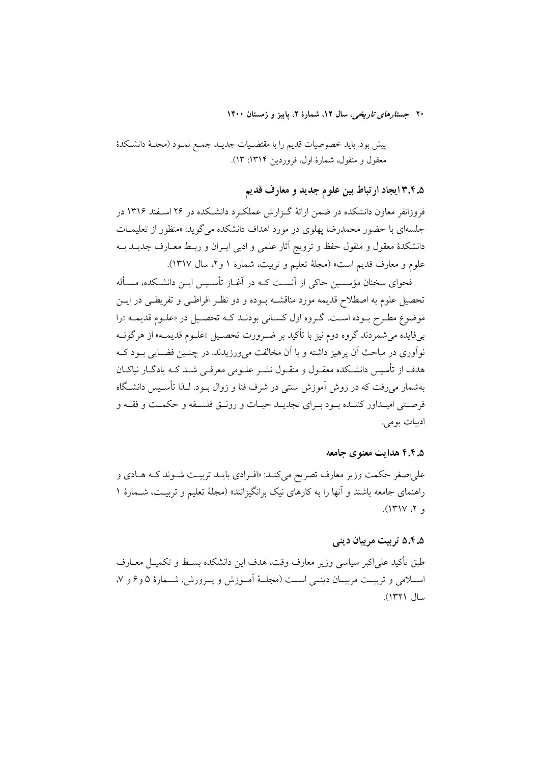پیش بود. باید خصوصیات قدیم را با مقتضـیات جدیــد جمـع نمـود (مجلـهٔ دانشـكدهٔ معقول و منقول، شمارهٔ اول، فروردین ۱۳۱۴: ۱۳).

۰.۵.۴.۴ ایجاد ارتباط بین علوم جدید و معارف قدیم

فروزانفر معاون دانشکده در ضمن ارائهٔ گـزارش عملکـرد دانشـکده در ۲۶ اسـفند ۱۳۱۶ در جلسهای با حضور محمدرضا یهلوی در مورد اهداف دانشکده می گوید: «منظور از تعلیمــات دانشکدهٔ معقول و منقول حفظ و ترویج آثار علمی و ادبی ایـران و ربـط معـارف جدیــد بــه علوم و معارف قديم است» (مجلَّه تعليم و تربيت، شمارة ١ و٢، سال ١٣١٧).

فحوای سخنان مؤسسین حاکی از آنسـت کـه در آغــاز تأسـیس ایــن دانشــکده، مســأله تحصیل علوم به اصطلاح قدیمه مورد مناقشـه بــوده و دو نظــر افراطــی و تفریطــی در ایــن موضوع مطـرح بــوده اسـت. گــروه اول كســاني بودنــد كــه تحصــيل در «علــوم قديمــه »را بي فايده مي شمردند گروه دوم نيز با تأكيد بر ضـرورت تحصـيل «علـوم قديمــه» از هرگونــه نوآوري در مباحث اَن پرهيز داشته و با اَن مخالفت مي ورزيدند. در چنــين فضــايي بــود کــه هدف از تأسیس دانشـکده معقـول و منقـول نشـر علـومی معرفـی شـد کـه یادگـار نیاکـان بهشمار میرفت که در روش آموزش سنتی در شرف فنا و زوال بــود. لــذا تأســيس دانشــگاه فرصتي اميـداور كننـده بـود بـراي تجديـد حيـات و رونــق فلسـفه و حكمـت و فقــه و ادبيات بومي.

#### ۶.۴.۵ هدایت معنوی جامعه

على اصغر حكمت وزير معارف تصريح مي كنـد: «افـرادي بايــد تربيـت شــوند كــه هــادي و راهنمای جامعه باشند و آنها را به کارهای نیک برانگیزانند» (مجلهٔ تعلیم و تربیـت، شــمارهٔ ۱ و ۲، ۱۳۱۷).

# ۵.۴.۵ ترییت مربیان دینی

طبق تأكيد على|كبر سياسي وزير معارف وقت، هدف اين دانشكده بســط و تكميــل معــارف اســلامي و تربيــت مربيــان دينــي اســت (مجلــهٔ أمــوزش و يــرورش، شــمارهٔ ۵ وع و ۷، سال ١٣٢١).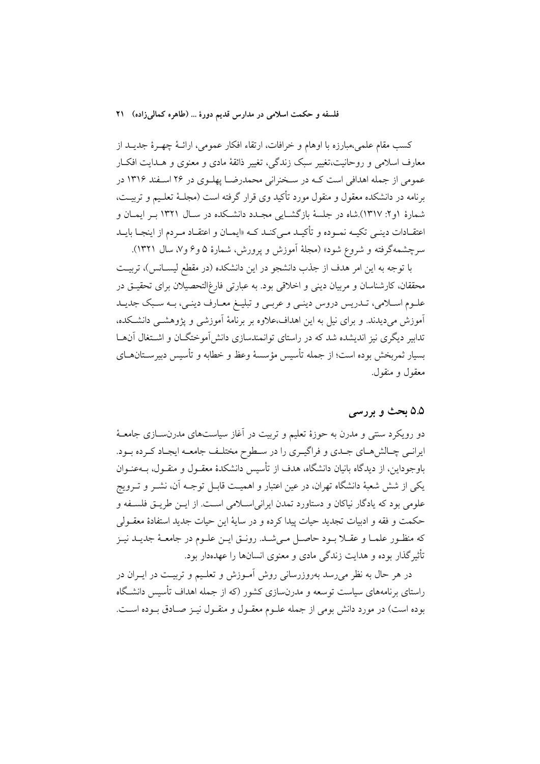كسب مقام علمي،مبارزه با اوهام و خرافات، ارتقاء افكار عمومي، ارائــهٔ چهــرهٔ جديــد از معارف اسلامی و روحانیت،تغییر سبک زندگی، تغییر ذائقهٔ مادی و معنوی و هــدایت افکــار عمومی از جمله اهدافی است کـه در سـخنرانی محمدرضـا پهلـوی در ۲۶ اسـفند ۱۳۱۶ در برنامه در دانشکده معقول و منقول مورد تأکید وی قرار گرفته است (مجلـهٔ تعلـیم و تربیـت، شمارهٔ ۱و۲: ۱۳۱۷).شاه در جلسهٔ بازگشـایی مجـدد دانشـکده در سـال ۱۳۲۱ بـر ایمـان و اعتقــادات دینــی تکیــه نمــوده و تأکیــد مــیکنــد کــه «ایمــان و اعتقــاد مــردم از اینجــا بایــد سرچشمهگرفته و شروع شود» (مجلهٔ اَموزش و پرورش، شمارهٔ ۵ و ۶ و ۷، سال ۱۳۲۱).

با توجه به این امر هدف از جذب دانشجو در این دانشکده (در مقطع لیســانس)، تربیـت محققان، کارشناسان و مربیان دینی و اخلاقی بود. به عبارتی فارغ|لتحصیلان برای تحقیــق در علـوم اسـلامي، تـدريس دروس دينـي و عربـي و تبليـغ معـارف دينـي، بـه سـبک جديـد آموزش میدیدند. و برای نیل به این اهداف،علاوه بر برنامهٔ آموزشی و پژوهشـی دانشـکده، تدابیر دیگری نیز اندیشده شد که در راستای توانمندسازی دانش[موختگــان و اشــتغال آنهــا بسیار ثمربخش بوده است؛ از جمله تأسیس مؤسسهٔ وعظ و خطابه و تأسیس دبیرســتان۱حای معقول و منقول.

#### ۵.۵ بحث و بررسی

دو رویکرد سنتی و مدرن به حوزهٔ تعلیم و تربیت در آغاز سیاستهای مدرن سازی جامعـهٔ ایرانـی چـالش،ای جـدی و فراگیـری را در سـطوح مختلـف جامعـه ایجـاد کـرده بـود. باوجوداین، از دیدگاه بانیان دانشگاه، هدف از تأسیس دانشکدهٔ معقـول و منقـول، بــهعنـوان یکی از شش شعبهٔ دانشگاه تهران، در عین اعتبار و اهمیت قابـل توجـه اَن، نشـر و تـرویج علومي بود كه يادگار نياكان و دستاورد تمدن ايراني اسلامي است. از ايــن طريــق فلســفه و حكمت و فقه و ادبيات تجديد حيات پيدا كرده و در سايهٔ اين حيات جديد استفادهٔ معقـولي كه منظـور علمـا و عقـلا بـود حاصـل مـىشـد. رونـق ايـن علـوم در جامعـهٔ جديـد نيـز تأثیر گذار بوده و هدایت زندگی مادی و معنوی انسانها را عهدهدار بود.

در هر حال به نظر می رسد بهروزرسانی روش آمـوزش و تعلـیم و تربیـت در ایـران در راستای برنامههای سیاست توسعه و مدرنسازی کشور (که از جمله اهداف تأسیس دانشگاه بوده است) در مورد دانش بومی از جمله علـوم معقـول و منقـول نیـز صـادق بـوده اسـت.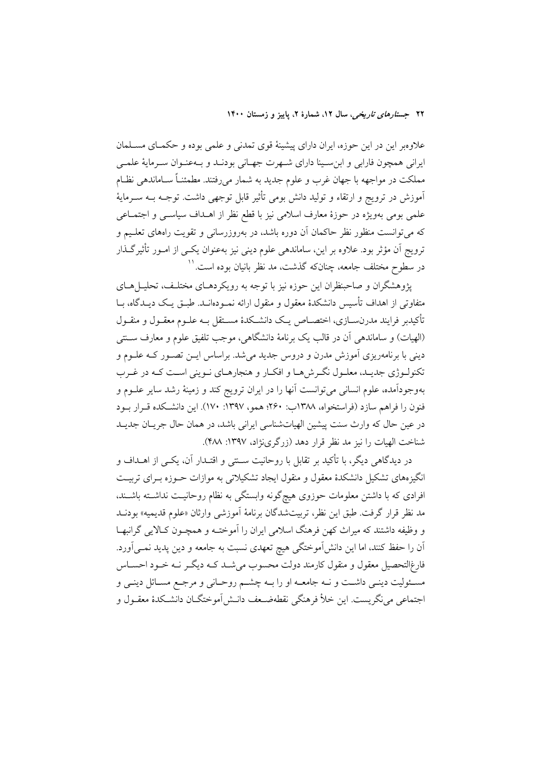علاوهبر این در این حوزه، ایران دارای پیشینهٔ قوی تمدنی و علمی بوده و حکمـای مسـلمان ایرانی همچون فارابی و ابن سـینا دارای شـهرت جهـانی بودنــد و بــهعنـوان سـرمایهٔ علمــ ٍ مملکت در مواجهه با جهان غرب و علوم جدید به شمار میرفتند. مطمئنـاً ســاماندهی نظــام آموزش در ترویج و ارتقاء و تولید دانش بومی تأثیر قابل توجهی داشت. توجــه بــه ســرمایهٔ علمی بومی بهویژه در حوزهٔ معارف اسلامی نیز با قطع نظر از اهــداف سیاســی و اجتمــاعی که میتوانست منظور نظر حاکمان آن دوره باشد، در بهروزرسانی و تقویت راههای تعلیم و ترویج اَن مؤثر بود. علاوه بر این، ساماندهی علوم دینی نیز بهعنوان یکـی از امـور تأثیرگـذار در سطوح مختلف جامعه، چنانکه گذشت، مد نظر بانیان بوده است.''

یژوهشگران و صاحبنظران این حوزه نیز با توجه به رویکردهـای مختلـف، تحلیــلهــای متفاوتی از اهداف تأسس دانشکدهٔ معقول و منقول ارائه نمـودهانـد. طبــق یــک دیــدگاه، سا تأكيدبر فرايند مدرنســازي، اختصــاص يــك دانشــكدهٔ مســتقل بــه علــوم معقــول و منقــول (الهيات) و ساماندهي أن در قالب يک برنامهٔ دانشگاهي، موجب تلفيق علوم و معارف ســنتي دینی با برنامهریزی آموزش مدرن و دروس جدید میشد. براساس ایــن تصــور کــه علــوم و تکنولـوژي جديـد، معلـول نگـرش(هـا و افکـار و هنجارهـاي نـويني اسـت کـه در غـرب بهوجودآمده، علوم انسانی میتوانست آنها را در ایران ترویج کند و زمینهٔ رشد سایر علــوم و فنون را فراهم سازد (فراستخواه، ۱۳۸۸ب: ۲۶۰؛ همو، ۱۳۹۷: ۱۷۰). این دانشکده قـرار بـود در عین حال که وارث سنت پیشین الهیاتشناسی ایرانی باشد، در همان حال جریـان جدیـد شناخت الهيات را نيز مد نظر قرار دهد (زرگري نژاد، ١٣٩٧: ۴٨٨).

در دیدگاهی دیگر، با تأکید بر تقابل با روحانیت سـنتی و اقتـدار آن، یکـی از اهــداف و انگیزههای تشکیل دانشکدهٔ معقول و منقول ایجاد تشکیلاتی به موازات حــوزه بــرای تربیــت افرادی که با داشتن معلومات حوزوی هیچگونه وابستگی به نظام روحانیـت نداشـته باشـند، مد نظر قرار گرفت. طبق این نظر، تربیتشدگان برنامهٔ آموزشی وارثان «علوم قدیمیه» بودنـد و وظيفه داشتند كه ميراث كهن فرهنگ اسلامي ايران را آموختـه و همچـون كـالايي گرانبهـا آن را حفظ کنند، اما این دانشآموختگی هیچ تعهدی نسبت به جامعه و دین پدید نمــیآورد. .<br>فارغ|لتحصیل معقول و منقول کارمند دولت محسوب میشــد کــه دیگــر نــه خــود احســاس مسئولیت دینـی داشـت و نــه جامعــه او را بــه چشــم روحــانی و مرجــع مســائل دینــی و اجتماعي مي نگريست. اين خلاً فرهنگي نقطهضـعف دانــش1موختگــان دانشــكدهٔ معقــول و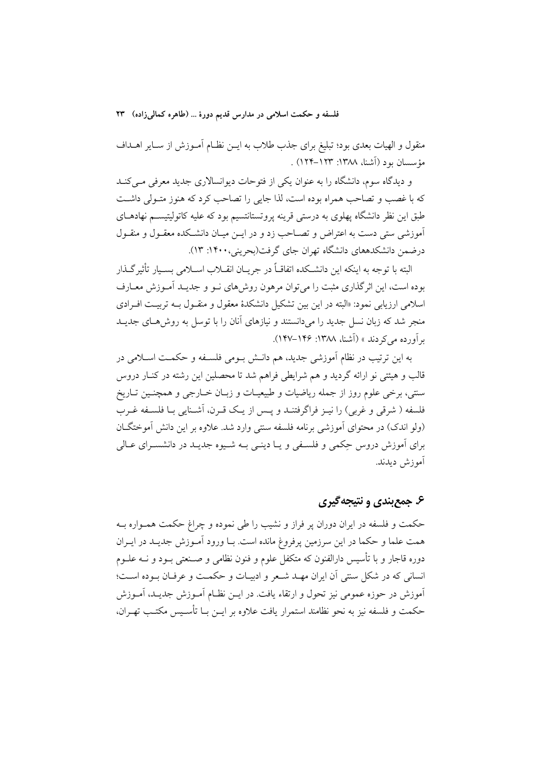منقول و الهیات بعدی بود؛ تبلیغ برای جذب طلاب به ایــن نظــام آمــوزش از ســایر اهــداف مؤسسان بود (آشنا، ۱۳۸۸: ۱۲۳–۱۲۴) .

و دیدگاه سوم، دانشگاه را به عنوان یکی از فتوحات دیوانسالاری جدید معرفی مبی کنـد که با غصب و تصاحب همراه بوده است، لذا جایی را تصاحب کرد که هنوز متـولی داشـت طبق این نظر دانشگاه پهلوی به درستی قرینه پروتستانتسیم بود که علیه کاتولیتیســم نهادهــای آموزشی ستی دست به اعتراض و تصــاحب زد و در ایــن میــان دانشــکده معقــول و منقــول درضمن دانشکدههای دانشگاه تهران جای گرفت(بحرینی، ۱۴۰۰: ۱۳).

البته با توجه به اينكه اين دانشـكده اتفاقــاً در جريــان انقــلاب اســلامي بســيار تأثير گــذار بوده است، این اثر گذاری مثبت را می توان مرهون روش۵مای نــو و جدیــد آمــوزش معــارف اسلامی ارزیابی نمود: «البته در این بین تشکیل دانشکدهٔ معقول و منقبول بـه تربیـت افـرادی منجر شد که زبان نسل جدید را میدانستند و نیازهای آنان را با توسل به روش هـای جدیــد بر آورده مرکے دند » (أشنا، ۱۳۸۸: ۱۴۶–۱۴۷).

به این ترتیب در نظام آموزشی جدید، هم دانـش بـومی فلسـفه و حکمـت اسـلامی در قالب و هیئتی نو ارائه گردید و هم شرایطی فراهم شد تا محصلین این رشته در کنــار دروس سنتي، برخي علوم روز از جمله رياضيات و طبيعيـات و زبـان خــارجي و همچنـين تــاريخ فلسفه ( شرقی و غربی) را نیـز فراگرفتنـد و پـس از یـک قـرن، آشـنایی بـا فلسـفه غـرب (ولو اندک) در محتوای آموزشی برنامه فلسفه سنتی وارد شد. علاوه بر این دانش آموختگـان برای آموزش دروس جکمی و فلسنفی و یــا دینــی بــه شــیوه جدیــد در دانشســرای عــالی آموزش دىدند.

# ۶. جمع بندي و نتيجه گيري

حکمت و فلسفه در ایران دوران پر فراز و نشیب را طی نموده و چراغ حکمت همـواره بـه همت علما و حکما در این سرزمین پرفروغ مانده است. بـا ورود آمـوزش جدیـد در ایـران دوره قاجار و با تأسیس دارالفنون که متکفل علوم و فنون نظامی و صـنعتی بــود و نــه علــوم انسانی که در شکل سنتی آن ایران مهـد شـعر و ادبیـات و حکمـت و عرفـان بـوده اسـت؛ آموزش در حوزه عمومی نیز تحول و ارتقاء یافت. در ایــن نظــام آمــوزش جدیــد، آمــوزش حکمت و فلسفه نیز به نحو نظامند استمرار یافت علاوه بر ایــن بــا تأســیس مکتــب تهــران،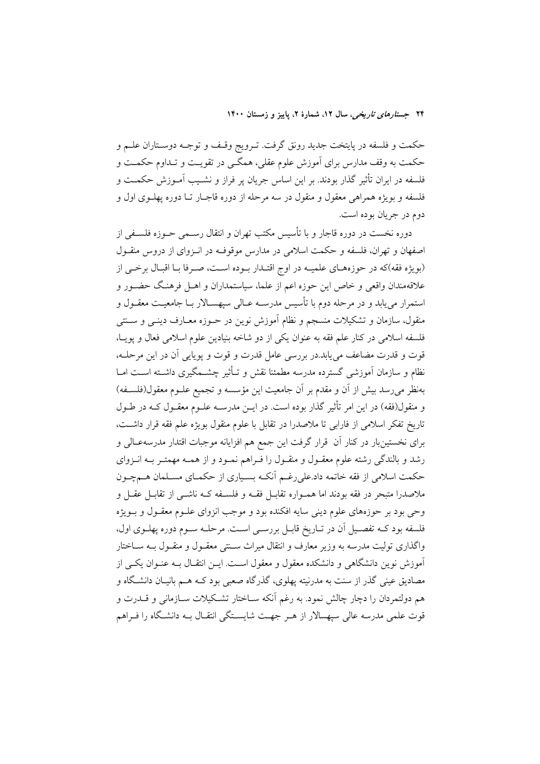حکمت و فلسفه در پایتخت جدید رونق گرفت. تـرویج وقـف و توجـه دوسـتاران علــم و حکمت به وقف مدارس برای آموزش علوم عقلی، همگـی در تقویـت و تـداوم حکمـت و فلسفه در ایران تأثیر گذار بودند. بر این اساس جریان پر فراز و نشـیب آمـوزش حکمــت و فلسفه و بويژه همراهي معقول و منقول در سه مرحله از دوره قاجـار تــا دوره يهلــوي اول و دوم در جريان بوده است.

دوره نخست در دوره قاجار و با تأسیس مکتب تهران و انتقال رسـمی حــوزه فلســفی از اصفهان و تهران، فلسفه و حکمت اسلامی در مدارس موقوف در انوای از دروس منقـول (بویژه فقه)که در حوزههـای علمیـه در اوج اقتـدار بـوده اسـت، صـرفا بـا اقبـال برخـی از علاقهمندان واقعی و خاص این حوزه اعم از علما، سیاستمداران و اهــل فرهنـگ حضــور و استمرار می پابد و در مرحله دوم با تأسیس مدرسـه عـالی سیهسـالار بــا جامعیــت معقــول و منقول، سازمان و تشکیلات منسجم و نظام اَموزش نوین در حـوزه معـارف دینـی و ســنتی فلسفه اسلامی در کنار علم فقه به عنوان یکی از دو شاخه بنیادین علوم اسلامی فعال و یویـا، قوت و قدرت مضاعف می یابد.در بررسی عامل قدرت و قوت و پویایی آن در این مرحلـه، نظام و سازمان آموزشی گسترده مدرسه مطمئنا نقش و تـأثیر چشــمگیری داشــته اســت امــا بهنظر می رسد بیش از آن و مقدم بر آن جامعیت این مؤسسه و تجمیع علــوم معقول(فلســفه) و منقول(فقه) در این امر تأثیر گذار بوده است. در ایــن مدرســه علــوم معقــول کــه در طــول تاریخ تفکر اسلامی از فارابی تا ملاصدرا در تقابل با علوم منقول بویژه علم فقه قرار داشت، برای نخستینبار در کنار آن قرار گرفت این جمع هم افزایانه موجبات اقتدار مدرسهعـالی و رشد و بالندگی رشته علوم معقـول و منقـول را فـراهم نمـود و از همـه مهمتـر بـه انـزوای حکمت اسلامی از فقه خاتمه داد.علی رغـم آنکـه بسـیاری از حکمـای مسـلمان هــمچــون ملاصدرا متبحر در فقه بودند اما همـواره تقابـل فقــه و فلســفه کــه ناشــی از تقابــل عقــل و وحي بود بر حوزههاي علوم ديني سايه افكنده بود و موجب انزواي علــوم معقــول و بــويژه فلسفه بود کـه تفصـيل آن در تـاريخ قابـل بررسـي اسـت. مرحلـه سـوم دوره پهلـوي اول، واگذاری تولیت مدرسه به وزیر معارف و انتقال میراث ســنتی معقــول و منقــول بــه ســاختار .<br>آموزش نوین دانشگاهی و دانشکده معقول و معقول اسـت. ایــن انتقــال بــه عنــوان یکــی از مصادیق عینی گذر از سنت به مدرنیته یهلوی، گذرگاه صعبی بود کــه هــم بانیــان دانشـگاه و هم دولتمردان را دچار چالش نمود. به رغم آنکه سـاختار تشـکیلات سـازمانی و قــدرت و قوت علمی مدرسه عالی سیهسالار از هـر جهـت شایسـتگی انتقـال بـه دانشـگاه را فـراهم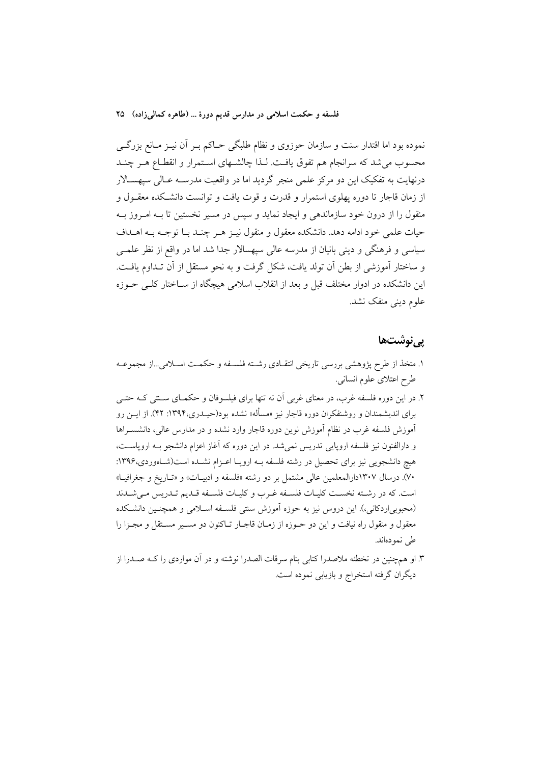نموده بود اما اقتدار سنت و سازمان حوزوی و نظام طلبگی حـاکم بــر آن نيــز مــانع بزرگـــی محسوب می شد که سرانجام هم تفوق یافت. لـذا چالشـهای اسـتمرار و انقطـاع هـر چنـد درنهایت به تفکیک این دو مرکز علمی منجر گردید اما در واقعیت مدرسـه عـالی سپهسـالار از زمان قاجار تا دوره یهلوی استمرار و قدرت و قوت یافت و توانست دانشکده معقـول و منقول را از درون خود سازماندهی و ایجاد نماید و سپس در مسیر نخستین تا بـه امـروز بـه حیات علمی خود ادامه دهد. دانشکده معقول و منقول نیـز هـر چنـد بـا توجـه بـه اهـداف سیاسی و فرهنگی و دینی بانیان از مدرسه عالی سپهسالار جدا شد اما در واقع از نظر علمــی و ساختار آموزشی از بطن آن تولد یافت، شکل گرفت و به نحو مستقل از آن تــداوم یافــت. این دانشکده در ادوار مختلف قبل و بعد از انقلاب اسلامی هیچگاه از ســاختار کلــی حــوزه علوم دینے منفک نشد.

#### <u>یے نوشتھا</u>

- ۱. متخذ از طرح پژوهشی بررسی تاریخی انتقـادی رشـته فلسـفه و حکمـت اسـلامی...از مجموعـه طرح اعتلای علوم انسانی.
- ۲. در این دوره فلسفه غرب، در معنای غربی آن نه تنها برای فیلسوفان و حکمـای سـنتی کـه حتـی برای اندیشمندان و روشنفکران دوره قاجار نیز «مسأله» نشده بود(حیـدری،۱۳۹۴: ۴۲). از ایــن رو آموزش فلسفه غرب در نظام آموزش نوین دوره قاجار وارد نشده و در مدارس عالی، دانشسـراها و دارالفنون نیز فلسفه اروپایی تدریس نمی شد. در این دوره که آغاز اعزام دانشجو بـه اروپاسـت، هیچ دانشجویی نیز برای تحصیل در رشته فلسفه بـه اروپـا اعـزام نشـده است(شـاهوردی،۱۳۹۶: ۷۰). درسال ۱۳۰۷دارالمعلمین عالی مشتمل بر دو رشته «فلسفه و ادبیـات» و «تـاریخ و جغرافیـا» است. كه در رشته نخست كليات فلسفه غرب و كليات فلسفه قلديم تلديس مى شدند (محبوبی|ردکانی،). این دروس نیز به حوزه اَموزش سنتی فلسـفه اسـلامی و همچنـین دانشـکده معقول و منقول راه نیافت و این دو حـوزه از زمـان قاجـار تـاکنون دو مسـير مسـتقل و مجـزا را طی نمودهاند.
- ۳. او همچنین در تخطئه ملاصدرا کتابی بنام سرقات الصدرا نوشته و در آن مواردی را کـه صــدرا از ديگران گرفته استخراج و بازيابي نموده است.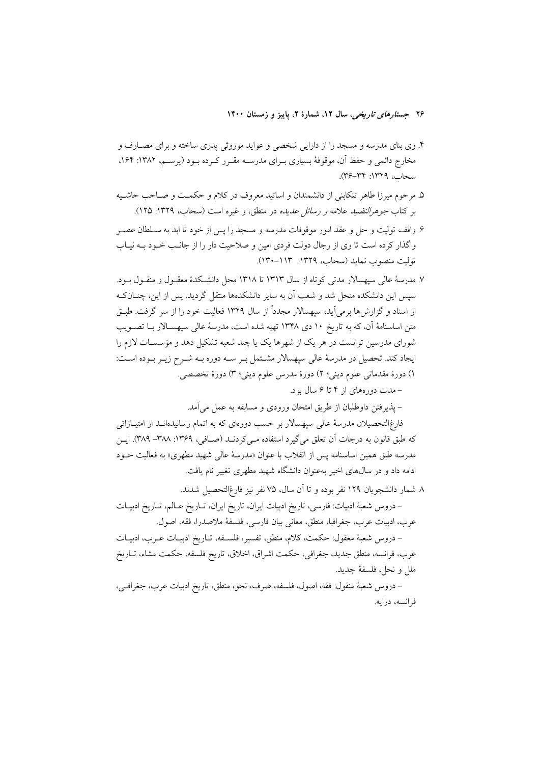- ۴. وی بنای مدرسه و مسجد را از دارایی شخصی و عواید موروثی پدری ساخته و برای مصــارف و مخارج دائمی و حفظ آن، موقوفهٔ بسیاری بــرای مدرســه مقــرر کــرده بــود (پرســم، ۱۳۸۲: ۱۶۴. سحاب، ١٣٢٩: ٣٤-٣٤).
- ۵. مرحوم میرزا طاهر تنکابنی از دانشمندان و اساتید معروف در کلام و حکمت و صـاحب حاشـیه بر كتاب جوهرالنضيد علامه و رسائل عديده در منطق، و غيره است (سحاب، ١٣٢٩: ١٢٥).
- ۶. واقف تولیت و حل و عقد امور موقوفات مدرسه و مسجد را پس از خود تا ابد به سـلطان عصـر واگذار کرده است تا وی از رجال دولت فردی امین و صلاحیت دار را از جانب خـود بــه نیــاب توليت منصوب نمايد (سحاب، ١٣٢٩: ١١٣٠-١٣٠).
- ۷. مدرسهٔ عالی سیهسالار مدتی کوتاه از سال ۱۳۱۳ تا ۱۳۱۸ محل دانشکدهٔ معقـول و منقـول بـود. سیس این دانشکده منحل شد و شعب آن به سایر دانشکدهها منتقل گردید. پس از این، چنــانکـه از اسناد و گزارشها برمی آید، سپهسالار مجدداً از سال ۱۳۲۹ فعالیت خود را از سر گرفت. طبـق متن اساسنامهٔ آن، که به تاریخ ۱۰ دی ۱۳۴۸ تهیه شده است، مدرسهٔ عالی سیهسـالار بــا تصــویب شورای مدرسین توانست در هر یک از شهرها یک یا چند شعبه تشکیل دهد و مؤسسـات لازم را ایجاد کند. تحصیل در مدرسهٔ عالی سپهسالار مشتمل بـر سـه دوره بـه شـرح زیـر بـوده اسـت: ١) دورهٔ مقدماتی علوم دینی؛ ٢) دورهٔ مدرس علوم دینی؛ ٣) دورهٔ تخصصی.
	- -مدت دورههای از ۴ تا ۶ سال بود.
	- يذيرفتن داوطلبان از طريق امتحان ورودي و مسابقه به عمل مي آمد.

فارغ|لتحصیلان مدرسهٔ عالمی سیهسالار بر حسب دورمای که به اتمام رسانیدمانــد از امتیــازاتـی كه طبق قانون به درجات آن تعلق مي گيرد استفاده مـي كردنــد (صــافي، ١٣۶٩: ٣٨٨–٣٨٩). ايــن مدرسه طبق همین اساسنامه پس از انقلاب با عنوان «مدرسهٔ عال<sub>ی</sub> شهید مطهری» به فعالیت خــود ادامه داد و در سالهای اخیر بهعنوان دانشگاه شهید مطهری تغییر نام یافت.

٨ شمار دانشجويان ١٢٩ نفر بوده و تا آن سال، ٧۵ نفر نيز فارغ|لتحصيل شدند.

– دروس شعبهٔ ادبیات: فارسی، تاریخ ادبیات ایران، تاریخ ایران، تــاریخ عــالم، تــاریخ ادبیــات عرب، ادبيات عرب، جغرافيا، منطق، معاني بيان فارسي، فلسفة ملاصدرا، فقه، اصول.

– دروس شعبهٔ معقول: حکمت، کلام، منطق، تفسیر، فلسـفه، تــاریخ ادبیــات عــرب، ادبیــات عرب، فرانسه، منطق جديد، جغرافي، حكمت اشراق، اخلاق، تاريخ فلسفه، حكمت مشاء، تــاريخ ملل و نحل، فلسفهٔ جدید.

– دروس شعبهٔ منقول: فقه، اصول، فلسفه، صرف، نحو، منطق، تاريخ ادبيات عرب، جغرافـي، فرانسه، درايه.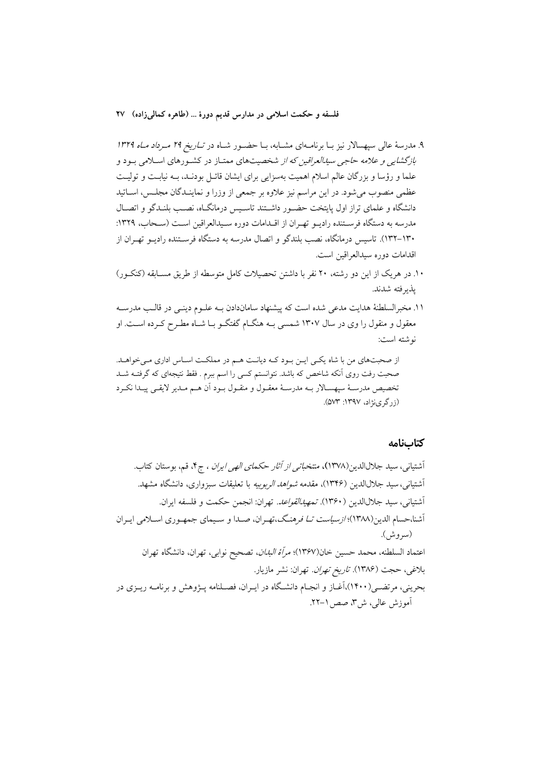۹. مدرسهٔ عالی سپهسالار نیز بـا برنامـهای مشـابه، بـا حضـور شـاه در تـ*اریخ ۲۹ مـرداد مـاه ۱۳۲۹* بازگشای<sub>می</sub> و علامه حاج<sub>می</sub> سی*دالعراقین که از* شخصیتهای ممتـاز در کشـورهای اسـلامی بـود و علما و رؤسا و بزرگان عالم اسلام اهمیت بهسزایی برای ایشان قائـل بودنـد، بـه نیابـت و تولیـت عظمی منصوب میشود. در این مراسم نیز علاوه بر جمعی از وزرا و نماینـدگان مجلـس، اســاتید دانشگاه و علمای تراز اول پایتخت حضـور داشـتند تاسـیس درمانگـاه، نصـب بلنـدگو و اتصـال مدرسه به دستگاه فرسـتنده راديــو تهـران از اقــدامات دوره ســيدالعراقين اســت (ســحاب، ١٣٢٩: ۱۳۰–۱۳۲). تاسیس درمانگاه، نصب بلندگو و اتصال مدرسه به دستگاه فرسـتنده رادیــو تهـران از اقدامات دوره سيدالع اقين است.

- ۱۰. در هریک از این دو رشته، ۲۰ نفر با داشتن تحصیلات کامل متوسطه از طریق مســابقه (کنکــور) يذير فته شدند.
- ۱۱. مخبرالسلطنهٔ هدایت مدعی شده است که پیشنهاد ساماندادن بـه علـوم دینـی در قالـب مدرسـه معقول و منقول را وی در سال ۱۳۰۷ شمسی بـه هنگــام گفتگــو بــا شــاه مطــرح کــرده اســت. او نوشته است:

از صحبتهای من با شاه یکی این بود کـه دیانـت هـم در مملکـت اسـاس اداری مـی خواهـد. صحبت رفت روی آنکه شاخص که باشد. نتوانستم کسی را اسم ببرم . فقط نتیجهای که گرفتــه شــد تخصيص مدرســهٔ سپهســالار بــه مدرســهٔ معقــول و منقــول بــود أن هــم مــدير لايقــي پيــدا نكــرد (زرگری نژاد، ۱۳۹۷: ۵۷۳).

#### كتابنامه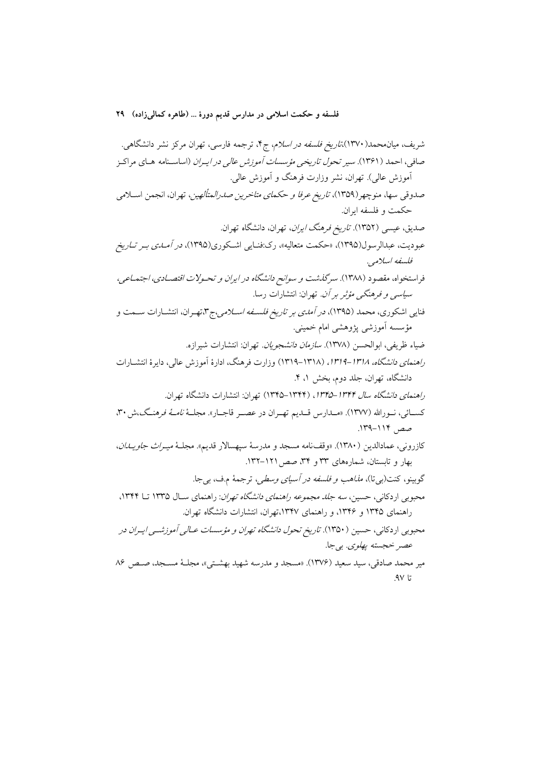$AV<sub>l</sub>$